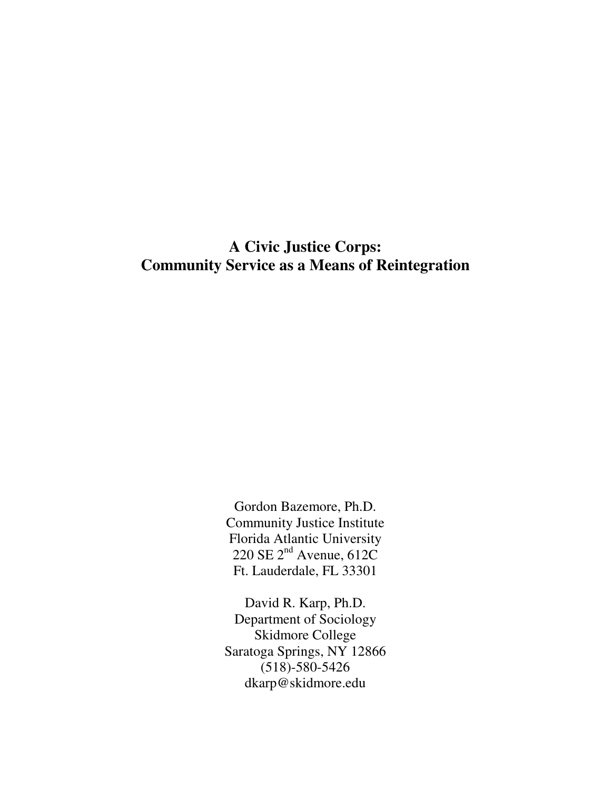**A Civic Justice Corps: Community Service as a Means of Reintegration**

> Gordon Bazemore, Ph.D. Community Justice Institute Florida Atlantic University  $220$  SE  $2<sup>nd</sup>$  Avenue, 612C Ft. Lauderdale, FL 33301

David R. Karp, Ph.D. Department of Sociology Skidmore College Saratoga Springs, NY 12866 (518)-580-5426 dkarp@skidmore.edu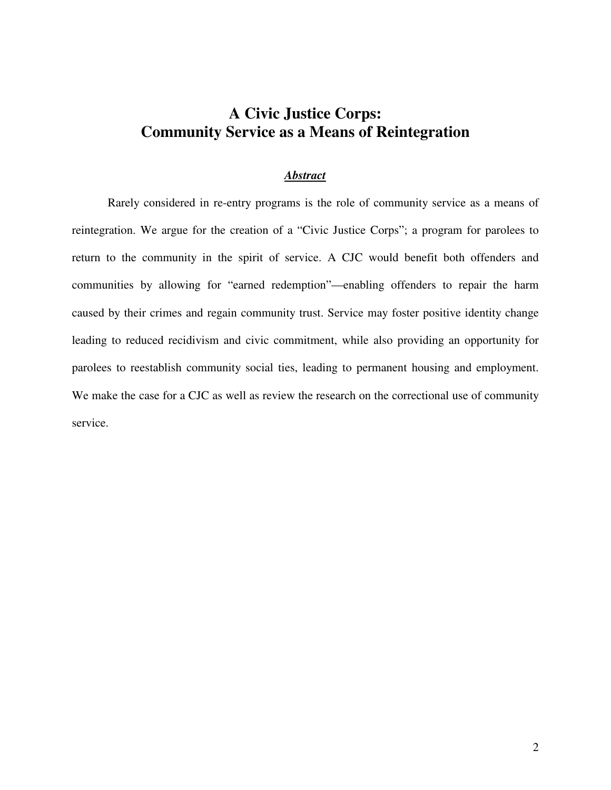# **A Civic Justice Corps: Community Service as a Means of Reintegration**

# *Abstract*

Rarely considered in re-entry programs is the role of community service as a means of reintegration. We argue for the creation of a "Civic Justice Corps"; a program for parolees to return to the community in the spirit of service. A CJC would benefit both offenders and communities by allowing for "earned redemption"—enabling offenders to repair the harm caused by their crimes and regain community trust. Service may foster positive identity change leading to reduced recidivism and civic commitment, while also providing an opportunity for parolees to reestablish community social ties, leading to permanent housing and employment. We make the case for a CJC as well as review the research on the correctional use of community service.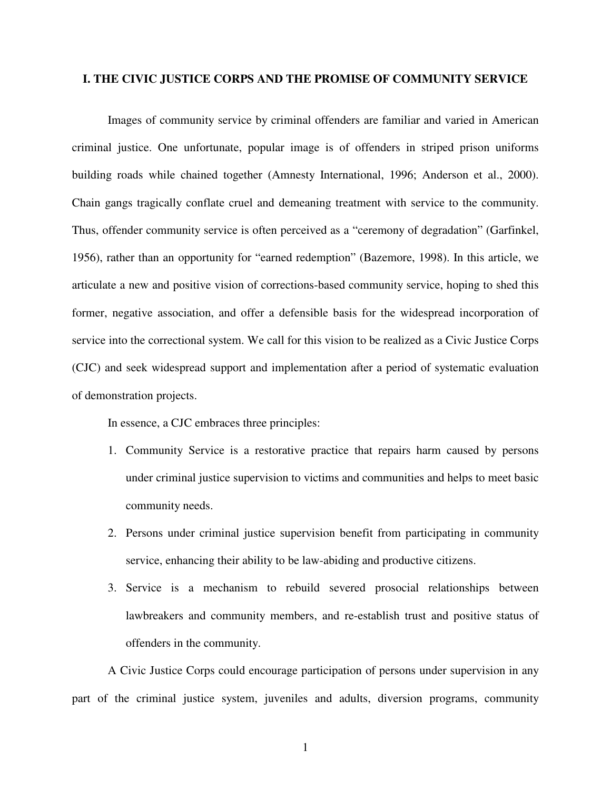#### **I. THE CIVIC JUSTICE CORPS AND THE PROMISE OF COMMUNITY SERVICE**

Images of community service by criminal offenders are familiar and varied in American criminal justice. One unfortunate, popular image is of offenders in striped prison uniforms building roads while chained together (Amnesty International, 1996; Anderson et al., 2000). Chain gangs tragically conflate cruel and demeaning treatment with service to the community. Thus, offender community service is often perceived as a "ceremony of degradation" (Garfinkel, 1956), rather than an opportunity for "earned redemption" (Bazemore, 1998). In this article, we articulate a new and positive vision of corrections-based community service, hoping to shed this former, negative association, and offer a defensible basis for the widespread incorporation of service into the correctional system. We call for this vision to be realized as a Civic Justice Corps (CJC) and seek widespread support and implementation after a period of systematic evaluation of demonstration projects.

In essence, a CJC embraces three principles:

- 1. Community Service is a restorative practice that repairs harm caused by persons under criminal justice supervision to victims and communities and helps to meet basic community needs.
- 2. Persons under criminal justice supervision benefit from participating in community service, enhancing their ability to be law-abiding and productive citizens.
- 3. Service is a mechanism to rebuild severed prosocial relationships between lawbreakers and community members, and re-establish trust and positive status of offenders in the community.

A Civic Justice Corps could encourage participation of persons under supervision in any part of the criminal justice system, juveniles and adults, diversion programs, community

1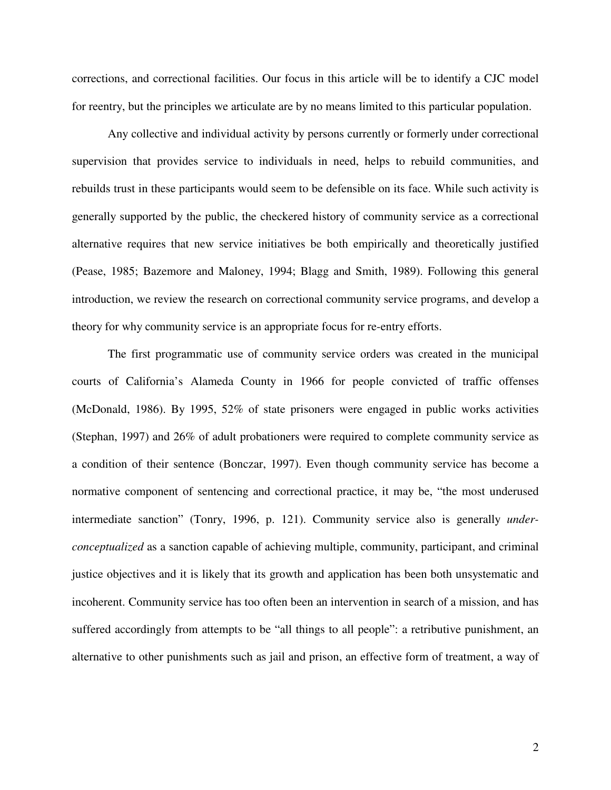corrections, and correctional facilities. Our focus in this article will be to identify a CJC model for reentry, but the principles we articulate are by no means limited to this particular population.

Any collective and individual activity by persons currently or formerly under correctional supervision that provides service to individuals in need, helps to rebuild communities, and rebuilds trust in these participants would seem to be defensible on its face. While such activity is generally supported by the public, the checkered history of community service as a correctional alternative requires that new service initiatives be both empirically and theoretically justified (Pease, 1985; Bazemore and Maloney, 1994; Blagg and Smith, 1989). Following this general introduction, we review the research on correctional community service programs, and develop a theory for why community service is an appropriate focus for re-entry efforts.

The first programmatic use of community service orders was created in the municipal courts of California's Alameda County in 1966 for people convicted of traffic offenses (McDonald, 1986). By 1995, 52% of state prisoners were engaged in public works activities (Stephan, 1997) and 26% of adult probationers were required to complete community service as a condition of their sentence (Bonczar, 1997). Even though community service has become a normative component of sentencing and correctional practice, it may be, "the most underused intermediate sanction" (Tonry, 1996, p. 121). Community service also is generally *underconceptualized* as a sanction capable of achieving multiple, community, participant, and criminal justice objectives and it is likely that its growth and application has been both unsystematic and incoherent. Community service has too often been an intervention in search of a mission, and has suffered accordingly from attempts to be "all things to all people": a retributive punishment, an alternative to other punishments such as jail and prison, an effective form of treatment, a way of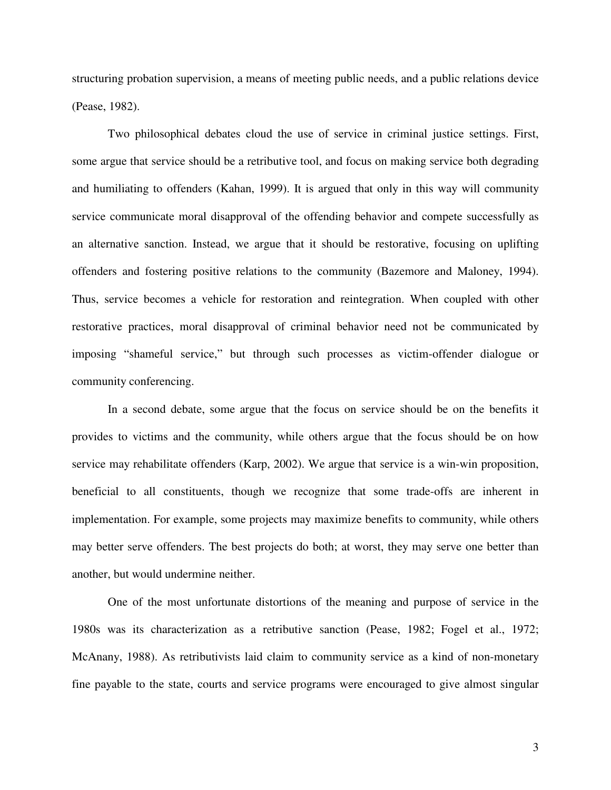structuring probation supervision, a means of meeting public needs, and a public relations device (Pease, 1982).

Two philosophical debates cloud the use of service in criminal justice settings. First, some argue that service should be a retributive tool, and focus on making service both degrading and humiliating to offenders (Kahan, 1999). It is argued that only in this way will community service communicate moral disapproval of the offending behavior and compete successfully as an alternative sanction. Instead, we argue that it should be restorative, focusing on uplifting offenders and fostering positive relations to the community (Bazemore and Maloney, 1994). Thus, service becomes a vehicle for restoration and reintegration. When coupled with other restorative practices, moral disapproval of criminal behavior need not be communicated by imposing "shameful service," but through such processes as victim-offender dialogue or community conferencing.

In a second debate, some argue that the focus on service should be on the benefits it provides to victims and the community, while others argue that the focus should be on how service may rehabilitate offenders (Karp, 2002). We argue that service is a win-win proposition, beneficial to all constituents, though we recognize that some trade-offs are inherent in implementation. For example, some projects may maximize benefits to community, while others may better serve offenders. The best projects do both; at worst, they may serve one better than another, but would undermine neither.

One of the most unfortunate distortions of the meaning and purpose of service in the 1980s was its characterization as a retributive sanction (Pease, 1982; Fogel et al., 1972; McAnany, 1988). As retributivists laid claim to community service as a kind of non-monetary fine payable to the state, courts and service programs were encouraged to give almost singular

3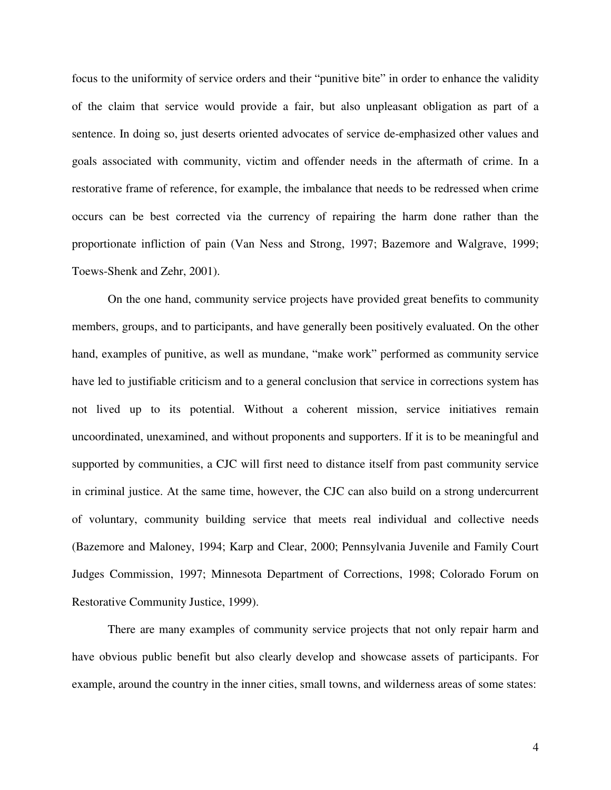focus to the uniformity of service orders and their "punitive bite" in order to enhance the validity of the claim that service would provide a fair, but also unpleasant obligation as part of a sentence. In doing so, just deserts oriented advocates of service de-emphasized other values and goals associated with community, victim and offender needs in the aftermath of crime. In a restorative frame of reference, for example, the imbalance that needs to be redressed when crime occurs can be best corrected via the currency of repairing the harm done rather than the proportionate infliction of pain (Van Ness and Strong, 1997; Bazemore and Walgrave, 1999; Toews-Shenk and Zehr, 2001).

On the one hand, community service projects have provided great benefits to community members, groups, and to participants, and have generally been positively evaluated. On the other hand, examples of punitive, as well as mundane, "make work" performed as community service have led to justifiable criticism and to a general conclusion that service in corrections system has not lived up to its potential. Without a coherent mission, service initiatives remain uncoordinated, unexamined, and without proponents and supporters. If it is to be meaningful and supported by communities, a CJC will first need to distance itself from past community service in criminal justice. At the same time, however, the CJC can also build on a strong undercurrent of voluntary, community building service that meets real individual and collective needs (Bazemore and Maloney, 1994; Karp and Clear, 2000; Pennsylvania Juvenile and Family Court Judges Commission, 1997; Minnesota Department of Corrections, 1998; Colorado Forum on Restorative Community Justice, 1999).

There are many examples of community service projects that not only repair harm and have obvious public benefit but also clearly develop and showcase assets of participants. For example, around the country in the inner cities, small towns, and wilderness areas of some states:

4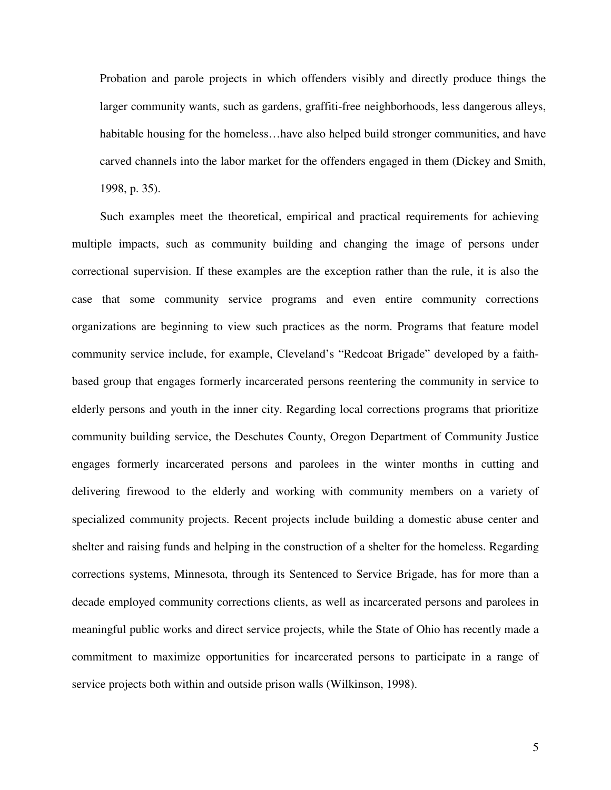Probation and parole projects in which offenders visibly and directly produce things the larger community wants, such as gardens, graffiti-free neighborhoods, less dangerous alleys, habitable housing for the homeless...have also helped build stronger communities, and have carved channels into the labor market for the offenders engaged in them (Dickey and Smith, 1998, p. 35).

Such examples meet the theoretical, empirical and practical requirements for achieving multiple impacts, such as community building and changing the image of persons under correctional supervision. If these examples are the exception rather than the rule, it is also the case that some community service programs and even entire community corrections organizations are beginning to view such practices as the norm. Programs that feature model community service include, for example, Cleveland's "Redcoat Brigade" developed by a faithbased group that engages formerly incarcerated persons reentering the community in service to elderly persons and youth in the inner city. Regarding local corrections programs that prioritize community building service, the Deschutes County, Oregon Department of Community Justice engages formerly incarcerated persons and parolees in the winter months in cutting and delivering firewood to the elderly and working with community members on a variety of specialized community projects. Recent projects include building a domestic abuse center and shelter and raising funds and helping in the construction of a shelter for the homeless. Regarding corrections systems, Minnesota, through its Sentenced to Service Brigade, has for more than a decade employed community corrections clients, as well as incarcerated persons and parolees in meaningful public works and direct service projects, while the State of Ohio has recently made a commitment to maximize opportunities for incarcerated persons to participate in a range of service projects both within and outside prison walls (Wilkinson, 1998).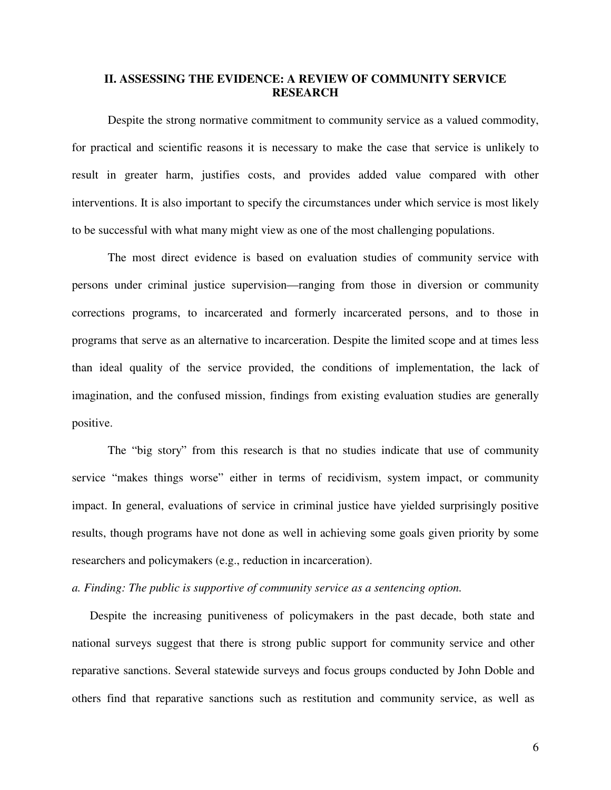### **II. ASSESSING THE EVIDENCE: A REVIEW OF COMMUNITY SERVICE RESEARCH**

Despite the strong normative commitment to community service as a valued commodity, for practical and scientific reasons it is necessary to make the case that service is unlikely to result in greater harm, justifies costs, and provides added value compared with other interventions. It is also important to specify the circumstances under which service is most likely to be successful with what many might view as one of the most challenging populations.

The most direct evidence is based on evaluation studies of community service with persons under criminal justice supervision—ranging from those in diversion or community corrections programs, to incarcerated and formerly incarcerated persons, and to those in programs that serve as an alternative to incarceration. Despite the limited scope and at times less than ideal quality of the service provided, the conditions of implementation, the lack of imagination, and the confused mission, findings from existing evaluation studies are generally positive.

The "big story" from this research is that no studies indicate that use of community service "makes things worse" either in terms of recidivism, system impact, or community impact. In general, evaluations of service in criminal justice have yielded surprisingly positive results, though programs have not done as well in achieving some goals given priority by some researchers and policymakers (e.g., reduction in incarceration).

#### *a. Finding: The public is supportive of community service as a sentencing option.*

Despite the increasing punitiveness of policymakers in the past decade, both state and national surveys suggest that there is strong public support for community service and other reparative sanctions. Several statewide surveys and focus groups conducted by John Doble and others find that reparative sanctions such as restitution and community service, as well as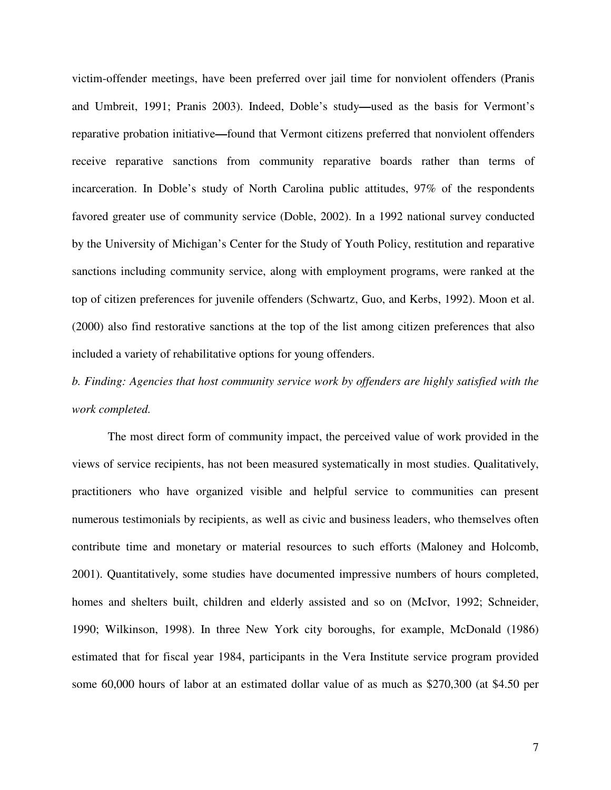victim-offender meetings, have been preferred over jail time for nonviolent offenders (Pranis and Umbreit, 1991; Pranis 2003). Indeed, Doble's study**—**used as the basis for Vermont's reparative probation initiative**—**found that Vermont citizens preferred that nonviolent offenders receive reparative sanctions from community reparative boards rather than terms of incarceration. In Doble's study of North Carolina public attitudes, 97% of the respondents favored greater use of community service (Doble, 2002). In a 1992 national survey conducted by the University of Michigan's Center for the Study of Youth Policy, restitution and reparative sanctions including community service, along with employment programs, were ranked at the top of citizen preferences for juvenile offenders (Schwartz, Guo, and Kerbs, 1992). Moon et al. (2000) also find restorative sanctions at the top of the list among citizen preferences that also included a variety of rehabilitative options for young offenders.

# *b. Finding: Agencies that host community service work by offenders are highly satisfied with the work completed.*

The most direct form of community impact, the perceived value of work provided in the views of service recipients, has not been measured systematically in most studies. Qualitatively, practitioners who have organized visible and helpful service to communities can present numerous testimonials by recipients, as well as civic and business leaders, who themselves often contribute time and monetary or material resources to such efforts (Maloney and Holcomb, 2001). Quantitatively, some studies have documented impressive numbers of hours completed, homes and shelters built, children and elderly assisted and so on (McIvor, 1992; Schneider, 1990; Wilkinson, 1998). In three New York city boroughs, for example, McDonald (1986) estimated that for fiscal year 1984, participants in the Vera Institute service program provided some 60,000 hours of labor at an estimated dollar value of as much as \$270,300 (at \$4.50 per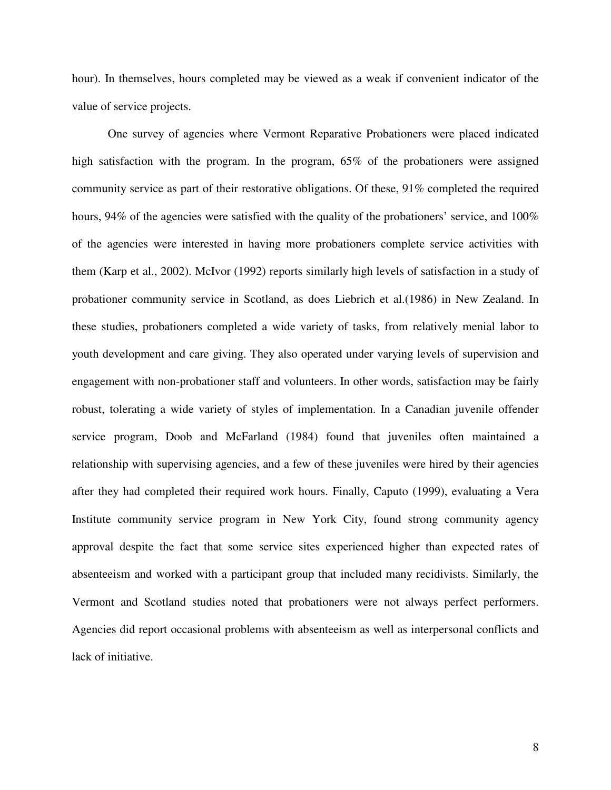hour). In themselves, hours completed may be viewed as a weak if convenient indicator of the value of service projects.

One survey of agencies where Vermont Reparative Probationers were placed indicated high satisfaction with the program. In the program, 65% of the probationers were assigned community service as part of their restorative obligations. Of these, 91% completed the required hours, 94% of the agencies were satisfied with the quality of the probationers' service, and 100% of the agencies were interested in having more probationers complete service activities with them (Karp et al., 2002). McIvor (1992) reports similarly high levels of satisfaction in a study of probationer community service in Scotland, as does Liebrich et al.(1986) in New Zealand. In these studies, probationers completed a wide variety of tasks, from relatively menial labor to youth development and care giving. They also operated under varying levels of supervision and engagement with non-probationer staff and volunteers. In other words, satisfaction may be fairly robust, tolerating a wide variety of styles of implementation. In a Canadian juvenile offender service program, Doob and McFarland (1984) found that juveniles often maintained a relationship with supervising agencies, and a few of these juveniles were hired by their agencies after they had completed their required work hours. Finally, Caputo (1999), evaluating a Vera Institute community service program in New York City, found strong community agency approval despite the fact that some service sites experienced higher than expected rates of absenteeism and worked with a participant group that included many recidivists. Similarly, the Vermont and Scotland studies noted that probationers were not always perfect performers. Agencies did report occasional problems with absenteeism as well as interpersonal conflicts and lack of initiative.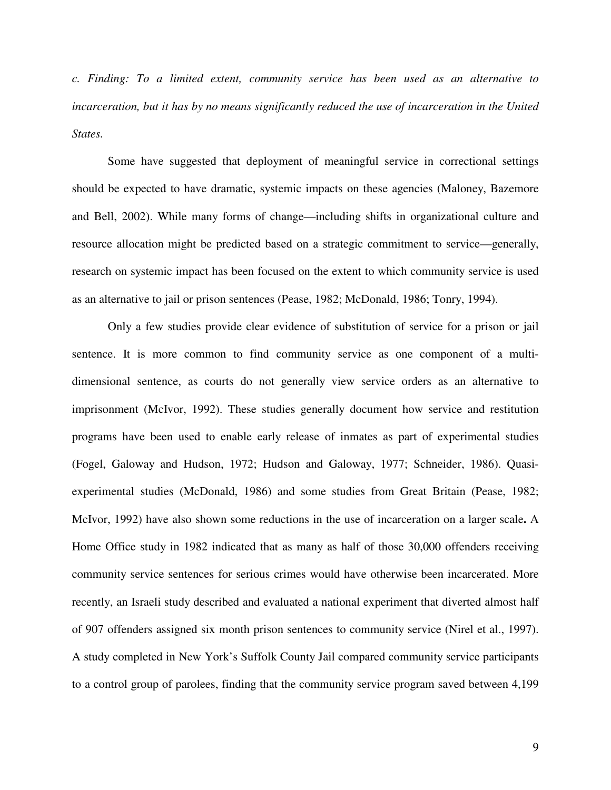*c. Finding: To a limited extent, community service has been used as an alternative to incarceration, but it has by no means significantly reduced the use of incarceration in the United States.*

Some have suggested that deployment of meaningful service in correctional settings should be expected to have dramatic, systemic impacts on these agencies (Maloney, Bazemore and Bell, 2002). While many forms of change—including shifts in organizational culture and resource allocation might be predicted based on a strategic commitment to service—generally, research on systemic impact has been focused on the extent to which community service is used as an alternative to jail or prison sentences (Pease, 1982; McDonald, 1986; Tonry, 1994).

Only a few studies provide clear evidence of substitution of service for a prison or jail sentence. It is more common to find community service as one component of a multidimensional sentence, as courts do not generally view service orders as an alternative to imprisonment (McIvor, 1992). These studies generally document how service and restitution programs have been used to enable early release of inmates as part of experimental studies (Fogel, Galoway and Hudson, 1972; Hudson and Galoway, 1977; Schneider, 1986). Quasiexperimental studies (McDonald, 1986) and some studies from Great Britain (Pease, 1982; McIvor, 1992) have also shown some reductions in the use of incarceration on a larger scale**.** A Home Office study in 1982 indicated that as many as half of those 30,000 offenders receiving community service sentences for serious crimes would have otherwise been incarcerated. More recently, an Israeli study described and evaluated a national experiment that diverted almost half of 907 offenders assigned six month prison sentences to community service (Nirel et al., 1997). A study completed in New York's Suffolk County Jail compared community service participants to a control group of parolees, finding that the community service program saved between 4,199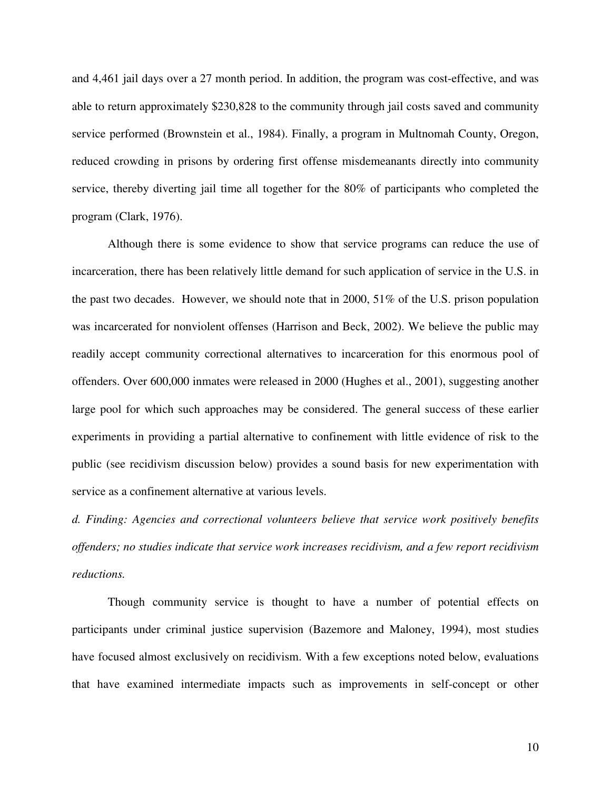and 4,461 jail days over a 27 month period. In addition, the program was cost-effective, and was able to return approximately \$230,828 to the community through jail costs saved and community service performed (Brownstein et al., 1984). Finally, a program in Multnomah County, Oregon, reduced crowding in prisons by ordering first offense misdemeanants directly into community service, thereby diverting jail time all together for the 80% of participants who completed the program (Clark, 1976).

Although there is some evidence to show that service programs can reduce the use of incarceration, there has been relatively little demand for such application of service in the U.S. in the past two decades. However, we should note that in 2000, 51% of the U.S. prison population was incarcerated for nonviolent offenses (Harrison and Beck, 2002). We believe the public may readily accept community correctional alternatives to incarceration for this enormous pool of offenders. Over 600,000 inmates were released in 2000 (Hughes et al., 2001), suggesting another large pool for which such approaches may be considered. The general success of these earlier experiments in providing a partial alternative to confinement with little evidence of risk to the public (see recidivism discussion below) provides a sound basis for new experimentation with service as a confinement alternative at various levels.

*d. Finding: Agencies and correctional volunteers believe that service work positively benefits offenders; no studies indicate that service work increases recidivism, and a few report recidivism reductions.*

Though community service is thought to have a number of potential effects on participants under criminal justice supervision (Bazemore and Maloney, 1994), most studies have focused almost exclusively on recidivism. With a few exceptions noted below, evaluations that have examined intermediate impacts such as improvements in self-concept or other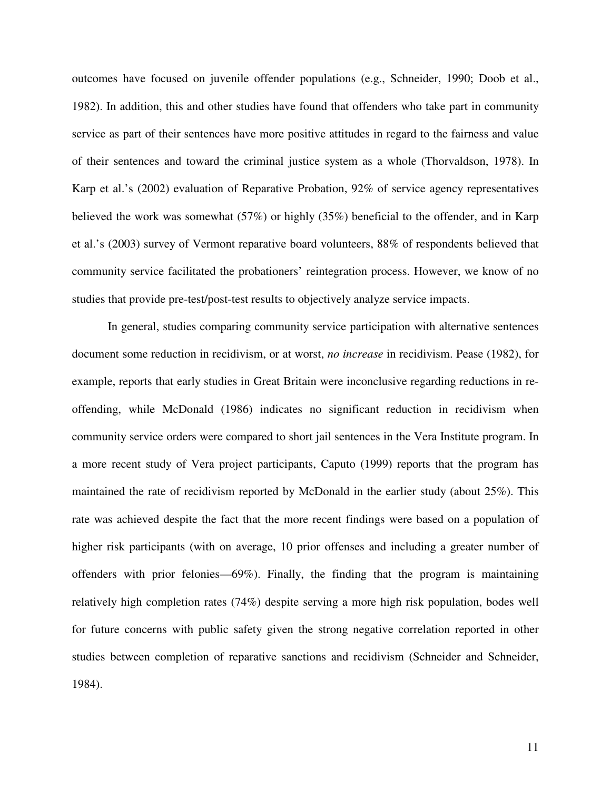outcomes have focused on juvenile offender populations (e.g., Schneider, 1990; Doob et al., 1982). In addition, this and other studies have found that offenders who take part in community service as part of their sentences have more positive attitudes in regard to the fairness and value of their sentences and toward the criminal justice system as a whole (Thorvaldson, 1978). In Karp et al.'s (2002) evaluation of Reparative Probation, 92% of service agency representatives believed the work was somewhat (57%) or highly (35%) beneficial to the offender, and in Karp et al.'s (2003) survey of Vermont reparative board volunteers, 88% of respondents believed that community service facilitated the probationers' reintegration process. However, we know of no studies that provide pre-test/post-test results to objectively analyze service impacts.

In general, studies comparing community service participation with alternative sentences document some reduction in recidivism, or at worst, *no increase* in recidivism. Pease (1982), for example, reports that early studies in Great Britain were inconclusive regarding reductions in reoffending, while McDonald (1986) indicates no significant reduction in recidivism when community service orders were compared to short jail sentences in the Vera Institute program. In a more recent study of Vera project participants, Caputo (1999) reports that the program has maintained the rate of recidivism reported by McDonald in the earlier study (about 25%). This rate was achieved despite the fact that the more recent findings were based on a population of higher risk participants (with on average, 10 prior offenses and including a greater number of offenders with prior felonies— 69%). Finally, the finding that the program is maintaining relatively high completion rates (74%) despite serving a more high risk population, bodes well for future concerns with public safety given the strong negative correlation reported in other studies between completion of reparative sanctions and recidivism (Schneider and Schneider, 1984).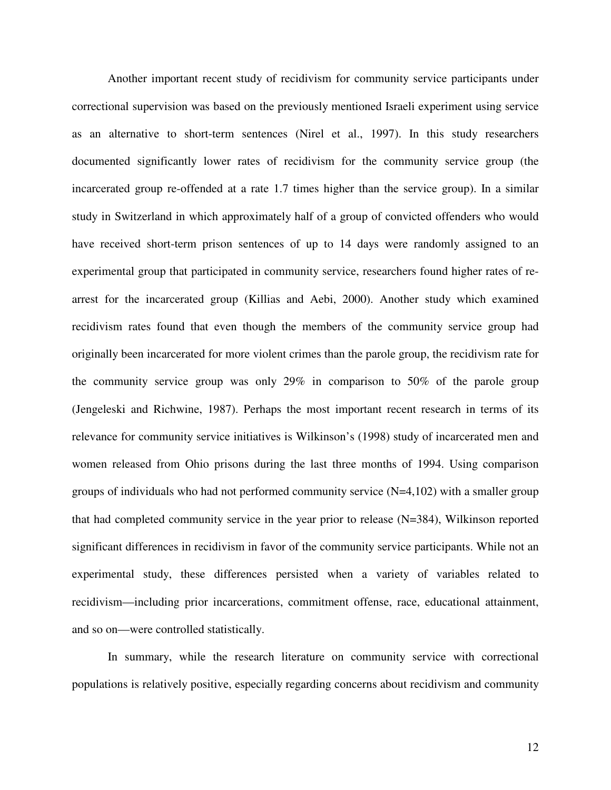Another important recent study of recidivism for community service participants under correctional supervision was based on the previously mentioned Israeli experiment using service as an alternative to short-term sentences (Nirel et al., 1997). In this study researchers documented significantly lower rates of recidivism for the community service group (the incarcerated group re-offended at a rate 1.7 times higher than the service group). In a similar study in Switzerland in which approximately half of a group of convicted offenders who would have received short-term prison sentences of up to 14 days were randomly assigned to an experimental group that participated in community service, researchers found higher rates of rearrest for the incarcerated group (Killias and Aebi, 2000). Another study which examined recidivism rates found that even though the members of the community service group had originally been incarcerated for more violent crimes than the parole group, the recidivism rate for the community service group was only 29% in comparison to 50% of the parole group (Jengeleski and Richwine, 1987). Perhaps the most important recent research in terms of its relevance for community service initiatives is Wilkinson's (1998) study of incarcerated men and women released from Ohio prisons during the last three months of 1994. Using comparison groups of individuals who had not performed community service (N=4,102) with a smaller group that had completed community service in the year prior to release (N=384), Wilkinson reported significant differences in recidivism in favor of the community service participants. While not an experimental study, these differences persisted when a variety of variables related to recidivism— including prior incarcerations, commitment offense, race, educational attainment, and so on— were controlled statistically.

In summary, while the research literature on community service with correctional populations is relatively positive, especially regarding concerns about recidivism and community

12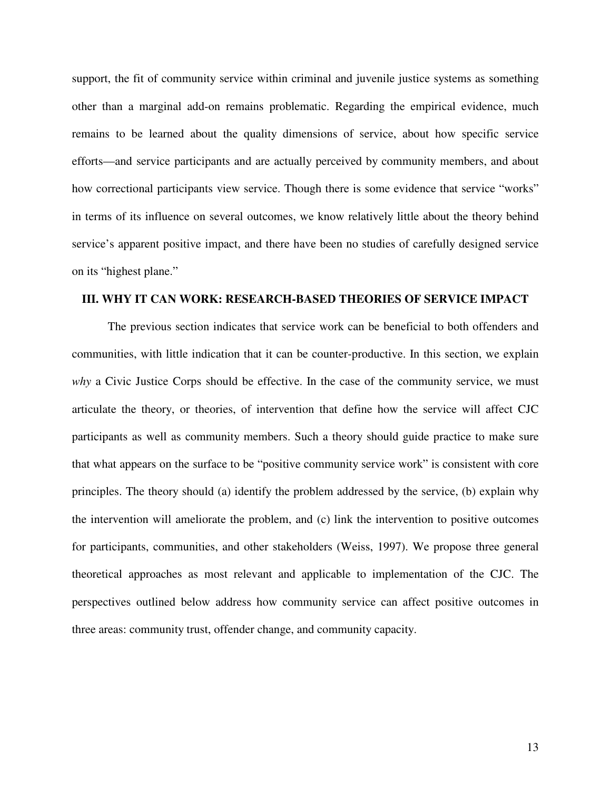support, the fit of community service within criminal and juvenile justice systems as something other than a marginal add-on remains problematic. Regarding the empirical evidence, much remains to be learned about the quality dimensions of service, about how specific service efforts— and service participants and are actually perceived by community members, and about how correctional participants view service. Though there is some evidence that service "works" in terms of its influence on several outcomes, we know relatively little about the theory behind service's apparent positive impact, and there have been no studies of carefully designed service on its "highest plane."

#### **III. WHY IT CAN WORK: RESEARCH-BASED THEORIES OF SERVICE IMPACT**

The previous section indicates that service work can be beneficial to both offenders and communities, with little indication that it can be counter-productive. In this section, we explain *why* a Civic Justice Corps should be effective. In the case of the community service, we must articulate the theory, or theories, of intervention that define how the service will affect CJC participants as well as community members. Such a theory should guide practice to make sure that what appears on the surface to be " positive community service work" is consistent with core principles. The theory should (a) identify the problem addressed by the service, (b) explain why the intervention will ameliorate the problem, and (c) link the intervention to positive outcomes for participants, communities, and other stakeholders (Weiss, 1997). We propose three general theoretical approaches as most relevant and applicable to implementation of the CJC. The perspectives outlined below address how community service can affect positive outcomes in three areas: community trust, offender change, and community capacity.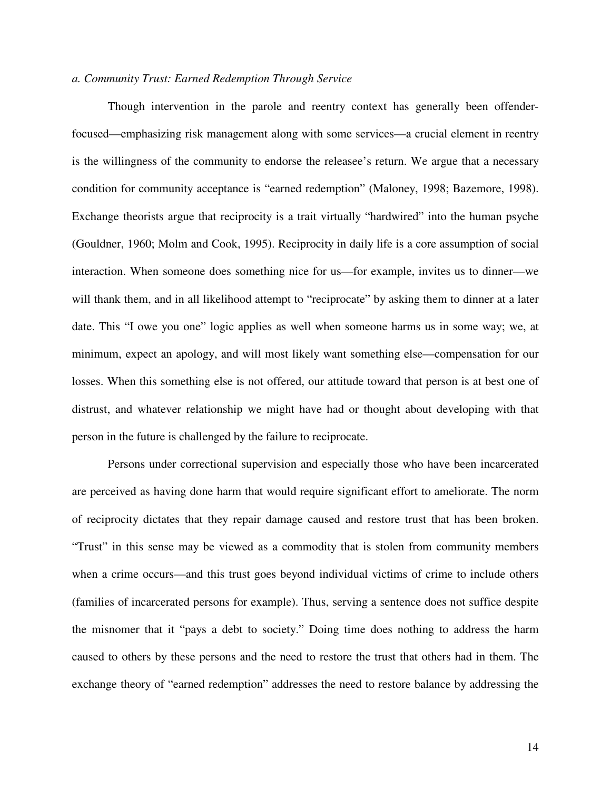#### *a. Community Trust: Earned Redemption Through Service*

Though intervention in the parole and reentry context has generally been offenderfocused— emphasizing risk management along with some services— a crucial element in reentry is the willingness of the community to endorse the releasee's return. We argue that a necessary condition for community acceptance is "earned redemption" (Maloney, 1998; Bazemore, 1998). Exchange theorists argue that reciprocity is a trait virtually "hardwired" into the human psyche (Gouldner, 1960; Molm and Cook, 1995). Reciprocity in daily life is a core assumption of social interaction. When someone does something nice for us— for example, invites us to dinner— we will thank them, and in all likelihood attempt to "reciprocate" by asking them to dinner at a later date. This "I owe you one" logic applies as well when someone harms us in some way; we, at minimum, expect an apology, and will most likely want something else— compensation for our losses. When this something else is not offered, our attitude toward that person is at best one of distrust, and whatever relationship we might have had or thought about developing with that person in the future is challenged by the failure to reciprocate.

Persons under correctional supervision and especially those who have been incarcerated are perceived as having done harm that would require significant effort to ameliorate. The norm of reciprocity dictates that they repair damage caused and restore trust that has been broken. "Trust" in this sense may be viewed as a commodity that is stolen from community members when a crime occurs—and this trust goes beyond individual victims of crime to include others (families of incarcerated persons for example). Thus, serving a sentence does not suffice despite the misnomer that it "pays a debt to society." Doing time does nothing to address the harm caused to others by these persons and the need to restore the trust that others had in them. The exchange theory of "earned redemption" addresses the need to restore balance by addressing the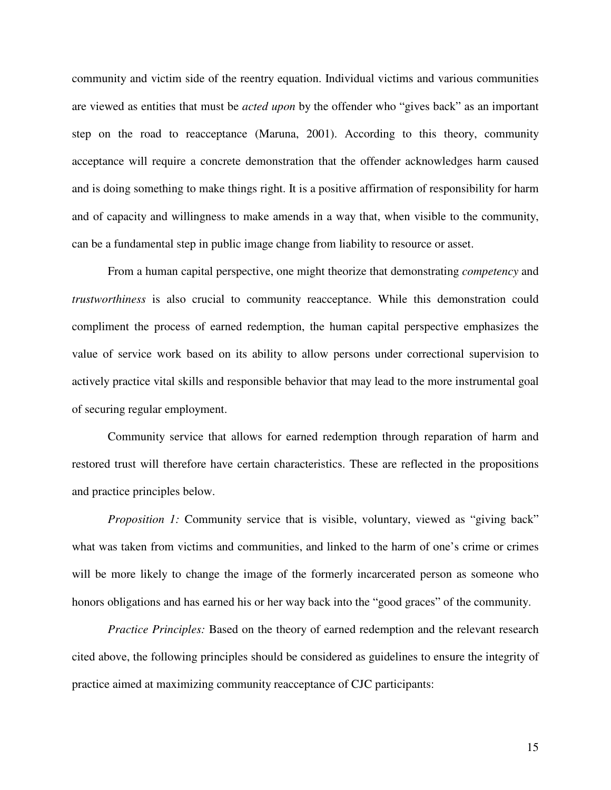community and victim side of the reentry equation. Individual victims and various communities are viewed as entities that must be *acted upon* by the offender who " gives back" as an important step on the road to reacceptance (Maruna, 2001). According to this theory, community acceptance will require a concrete demonstration that the offender acknowledges harm caused and is doing something to make things right. It is a positive affirmation of responsibility for harm and of capacity and willingness to make amends in a way that, when visible to the community, can be a fundamental step in public image change from liability to resource or asset.

From a human capital perspective, one might theorize that demonstrating *competency* and *trustworthiness* is also crucial to community reacceptance. While this demonstration could compliment the process of earned redemption, the human capital perspective emphasizes the value of service work based on its ability to allow persons under correctional supervision to actively practice vital skills and responsible behavior that may lead to the more instrumental goal of securing regular employment.

Community service that allows for earned redemption through reparation of harm and restored trust will therefore have certain characteristics. These are reflected in the propositions and practice principles below.

*Proposition 1:* Community service that is visible, voluntary, viewed as "giving back" what was taken from victims and communities, and linked to the harm of one's crime or crimes will be more likely to change the image of the formerly incarcerated person as someone who honors obligations and has earned his or her way back into the "good graces" of the community.

*Practice Principles:* Based on the theory of earned redemption and the relevant research cited above, the following principles should be considered as guidelines to ensure the integrity of practice aimed at maximizing community reacceptance of CJC participants:

15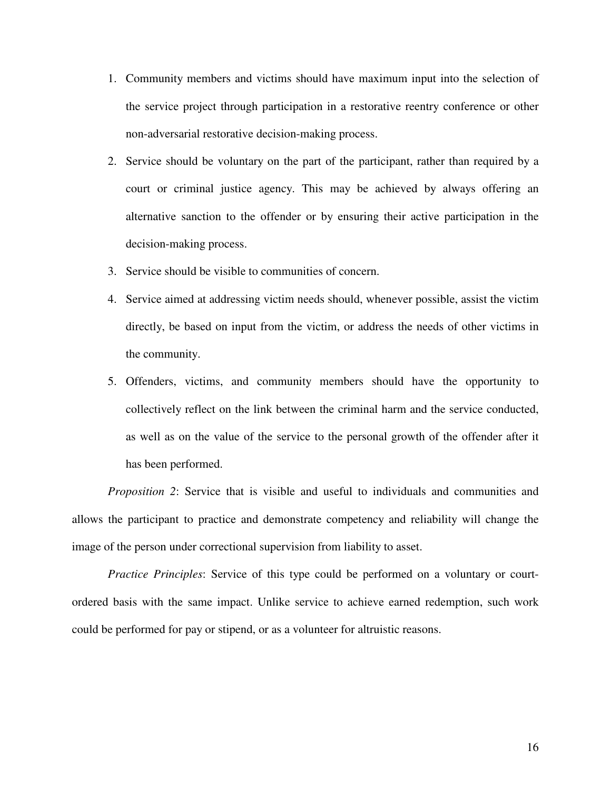- 1. Community members and victims should have maximum input into the selection of the service project through participation in a restorative reentry conference or other non-adversarial restorative decision-making process.
- 2. Service should be voluntary on the part of the participant, rather than required by a court or criminal justice agency. This may be achieved by always offering an alternative sanction to the offender or by ensuring their active participation in the decision-making process.
- 3. Service should be visible to communities of concern.
- 4. Service aimed at addressing victim needs should, whenever possible, assist the victim directly, be based on input from the victim, or address the needs of other victims in the community.
- 5. Offenders, victims, and community members should have the opportunity to collectively reflect on the link between the criminal harm and the service conducted, as well as on the value of the service to the personal growth of the offender after it has been performed.

*Proposition 2*: Service that is visible and useful to individuals and communities and allows the participant to practice and demonstrate competency and reliability will change the image of the person under correctional supervision from liability to asset.

*Practice Principles*: Service of this type could be performed on a voluntary or courtordered basis with the same impact. Unlike service to achieve earned redemption, such work could be performed for pay or stipend, or as a volunteer for altruistic reasons.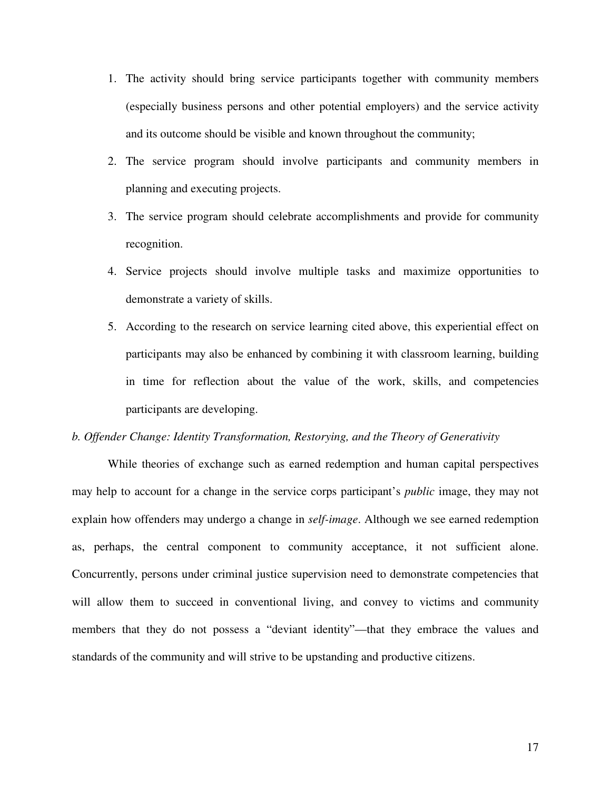- 1. The activity should bring service participants together with community members (especially business persons and other potential employers) and the service activity and its outcome should be visible and known throughout the community;
- 2. The service program should involve participants and community members in planning and executing projects.
- 3. The service program should celebrate accomplishments and provide for community recognition.
- 4. Service projects should involve multiple tasks and maximize opportunities to demonstrate a variety of skills.
- 5. According to the research on service learning cited above, this experiential effect on participants may also be enhanced by combining it with classroom learning, building in time for reflection about the value of the work, skills, and competencies participants are developing.

#### *b. Offender Change: Identity Transformation, Restorying, and the Theory of Generativity*

While theories of exchange such as earned redemption and human capital perspectives may help to account for a change in the service corps participant's *public* image, they may not explain how offenders may undergo a change in *self-image*. Although we see earned redemption as, perhaps, the central component to community acceptance, it not sufficient alone. Concurrently, persons under criminal justice supervision need to demonstrate competencies that will allow them to succeed in conventional living, and convey to victims and community members that they do not possess a "deviant identity"—that they embrace the values and standards of the community and will strive to be upstanding and productive citizens.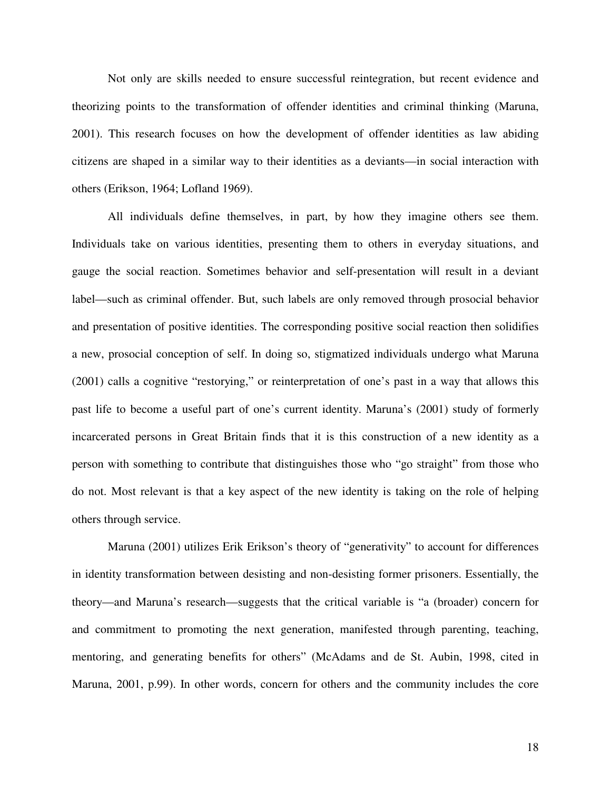Not only are skills needed to ensure successful reintegration, but recent evidence and theorizing points to the transformation of offender identities and criminal thinking (Maruna, 2001). This research focuses on how the development of offender identities as law abiding citizens are shaped in a similar way to their identities as a deviants— in social interaction with others (Erikson, 1964; Lofland 1969).

All individuals define themselves, in part, by how they imagine others see them. Individuals take on various identities, presenting them to others in everyday situations, and gauge the social reaction. Sometimes behavior and self-presentation will result in a deviant label— such as criminal offender. But, such labels are only removed through prosocial behavior and presentation of positive identities. The corresponding positive social reaction then solidifies a new, prosocial conception of self. In doing so, stigmatized individuals undergo what Maruna (2001) calls a cognitive "restorying," or reinterpretation of one's past in a way that allows this past life to become a useful part of one's current identity. Maruna's (2001) study of formerly incarcerated persons in Great Britain finds that it is this construction of a new identity as a person with something to contribute that distinguishes those who " go straight" from those who do not. Most relevant is that a key aspect of the new identity is taking on the role of helping others through service.

Maruna (2001) utilizes Erik Erikson's theory of "generativity" to account for differences in identity transformation between desisting and non-desisting former prisoners. Essentially, the theory— and Maruna's research— suggests that the critical variable is " a (broader) concern for and commitment to promoting the next generation, manifested through parenting, teaching, mentoring, and generating benefits for others" (McAdams and de St. Aubin, 1998, cited in Maruna, 2001, p.99). In other words, concern for others and the community includes the core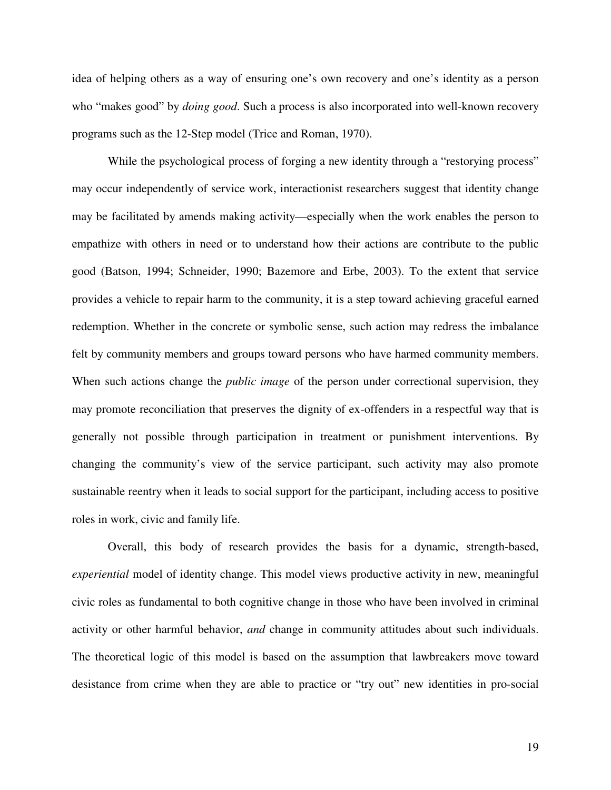idea of helping others as a way of ensuring one's own recovery and one's identity as a person who "makes good" by *doing good*. Such a process is also incorporated into well-known recovery programs such as the 12-Step model (Trice and Roman, 1970).

While the psychological process of forging a new identity through a "restorying process" may occur independently of service work, interactionist researchers suggest that identity change may be facilitated by amends making activity— especially when the work enables the person to empathize with others in need or to understand how their actions are contribute to the public good (Batson, 1994; Schneider, 1990; Bazemore and Erbe, 2003). To the extent that service provides a vehicle to repair harm to the community, it is a step toward achieving graceful earned redemption. Whether in the concrete or symbolic sense, such action may redress the imbalance felt by community members and groups toward persons who have harmed community members. When such actions change the *public image* of the person under correctional supervision, they may promote reconciliation that preserves the dignity of ex-offenders in a respectful way that is generally not possible through participation in treatment or punishment interventions. By changing the community's view of the service participant, such activity may also promote sustainable reentry when it leads to social support for the participant, including access to positive roles in work, civic and family life.

Overall, this body of research provides the basis for a dynamic, strength-based, *experiential* model of identity change. This model views productive activity in new, meaningful civic roles as fundamental to both cognitive change in those who have been involved in criminal activity or other harmful behavior, *and* change in community attitudes about such individuals. The theoretical logic of this model is based on the assumption that lawbreakers move toward desistance from crime when they are able to practice or "try out" new identities in pro-social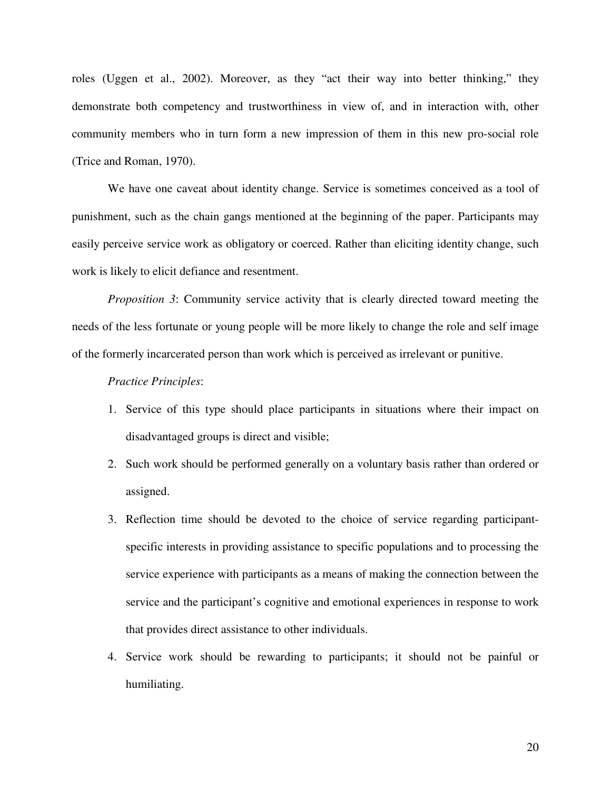roles (Uggen et al., 2002). Moreover, as they "act their way into better thinking," they demonstrate both competency and trustworthiness in view of, and in interaction with, other community members who in turn form a new impression of them in this new pro-social role (Trice and Roman, 1970).

We have one caveat about identity change. Service is sometimes conceived as a tool of punishment, such as the chain gangs mentioned at the beginning of the paper. Participants may easily perceive service work as obligatory or coerced. Rather than eliciting identity change, such work is likely to elicit defiance and resentment.

*Proposition 3*: Community service activity that is clearly directed toward meeting the needs of the less fortunate or young people will be more likely to change the role and self image of the formerly incarcerated person than work which is perceived as irrelevant or punitive.

#### *Practice Principles*:

- 1. Service of this type should place participants in situations where their impact on disadvantaged groups is direct and visible;
- 2. Such work should be performed generally on a voluntary basis rather than ordered or assigned.
- 3. Reflection time should be devoted to the choice of service regarding participantspecific interests in providing assistance to specific populations and to processing the service experience with participants as a means of making the connection between the service and the participant's cognitive and emotional experiences in response to work that provides direct assistance to other individuals.
- 4. Service work should be rewarding to participants; it should not be painful or humiliating.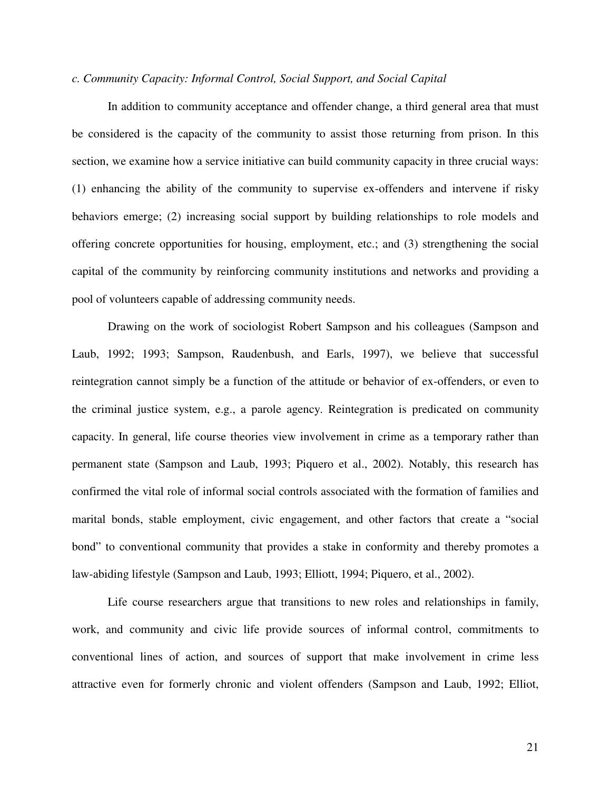#### *c. Community Capacity: Informal Control, Social Support, and Social Capital*

In addition to community acceptance and offender change, a third general area that must be considered is the capacity of the community to assist those returning from prison. In this section, we examine how a service initiative can build community capacity in three crucial ways: (1) enhancing the ability of the community to supervise ex-offenders and intervene if risky behaviors emerge; (2) increasing social support by building relationships to role models and offering concrete opportunities for housing, employment, etc.; and (3) strengthening the social capital of the community by reinforcing community institutions and networks and providing a pool of volunteers capable of addressing community needs.

Drawing on the work of sociologist Robert Sampson and his colleagues (Sampson and Laub, 1992; 1993; Sampson, Raudenbush, and Earls, 1997), we believe that successful reintegration cannot simply be a function of the attitude or behavior of ex-offenders, or even to the criminal justice system, e.g., a parole agency. Reintegration is predicated on community capacity. In general, life course theories view involvement in crime as a temporary rather than permanent state (Sampson and Laub, 1993; Piquero et al., 2002). Notably, this research has confirmed the vital role of informal social controls associated with the formation of families and marital bonds, stable employment, civic engagement, and other factors that create a "social bond" to conventional community that provides a stake in conformity and thereby promotes a law-abiding lifestyle (Sampson and Laub, 1993; Elliott, 1994; Piquero, et al., 2002).

Life course researchers argue that transitions to new roles and relationships in family, work, and community and civic life provide sources of informal control, commitments to conventional lines of action, and sources of support that make involvement in crime less attractive even for formerly chronic and violent offenders (Sampson and Laub, 1992; Elliot,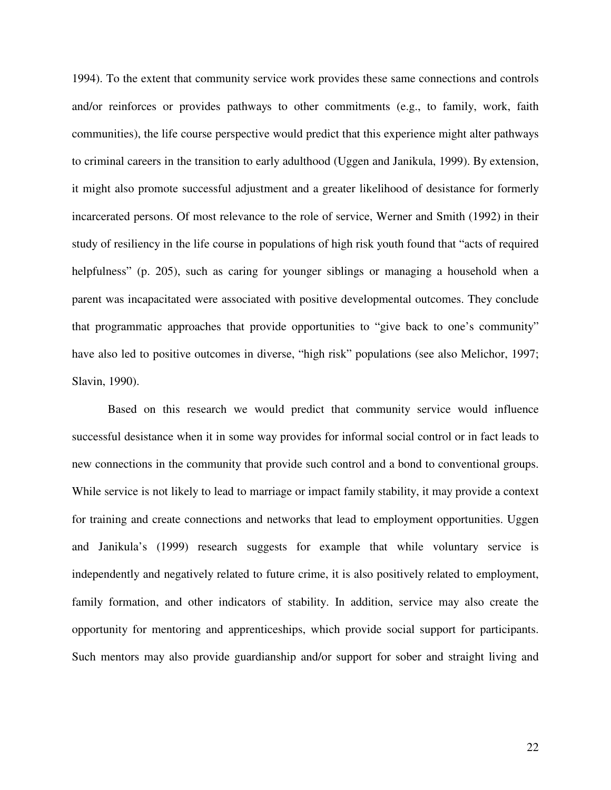1994). To the extent that community service work provides these same connections and controls and/or reinforces or provides pathways to other commitments (e.g., to family, work, faith communities), the life course perspective would predict that this experience might alter pathways to criminal careers in the transition to early adulthood (Uggen and Janikula, 1999). By extension, it might also promote successful adjustment and a greater likelihood of desistance for formerly incarcerated persons. Of most relevance to the role of service, Werner and Smith (1992) in their study of resiliency in the life course in populations of high risk youth found that " acts of required helpfulness" (p. 205), such as caring for younger siblings or managing a household when a parent was incapacitated were associated with positive developmental outcomes. They conclude that programmatic approaches that provide opportunities to " give back to one's community" have also led to positive outcomes in diverse, "high risk" populations (see also Melichor, 1997; Slavin, 1990).

Based on this research we would predict that community service would influence successful desistance when it in some way provides for informal social control or in fact leads to new connections in the community that provide such control and a bond to conventional groups. While service is not likely to lead to marriage or impact family stability, it may provide a context for training and create connections and networks that lead to employment opportunities. Uggen and Janikula's (1999) research suggests for example that while voluntary service is independently and negatively related to future crime, it is also positively related to employment, family formation, and other indicators of stability. In addition, service may also create the opportunity for mentoring and apprenticeships, which provide social support for participants. Such mentors may also provide guardianship and/or support for sober and straight living and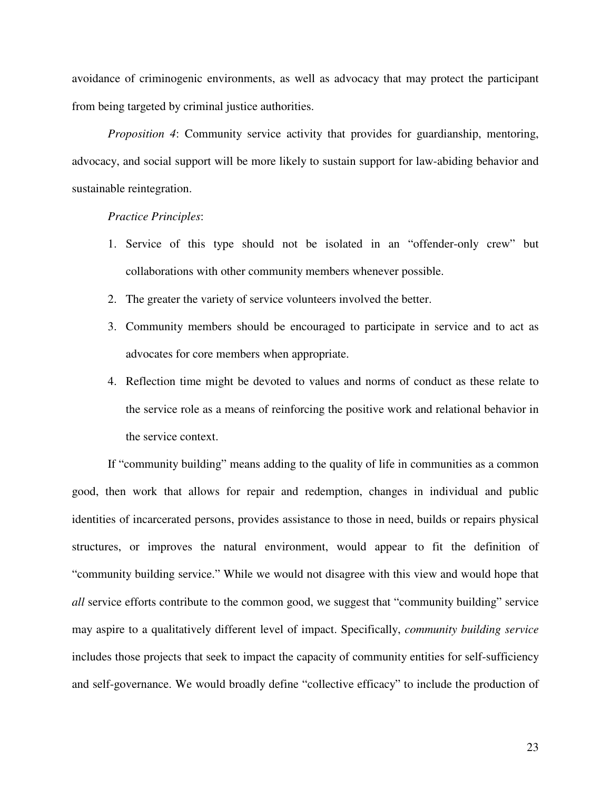avoidance of criminogenic environments, as well as advocacy that may protect the participant from being targeted by criminal justice authorities.

*Proposition 4*: Community service activity that provides for guardianship, mentoring, advocacy, and social support will be more likely to sustain support for law-abiding behavior and sustainable reintegration.

#### *Practice Principles*:

- 1. Service of this type should not be isolated in an " offender-only crew" but collaborations with other community members whenever possible.
- 2. The greater the variety of service volunteers involved the better.
- 3. Community members should be encouraged to participate in service and to act as advocates for core members when appropriate.
- 4. Reflection time might be devoted to values and norms of conduct as these relate to the service role as a means of reinforcing the positive work and relational behavior in the service context.

If "community building" means adding to the quality of life in communities as a common good, then work that allows for repair and redemption, changes in individual and public identities of incarcerated persons, provides assistance to those in need, builds or repairs physical structures, or improves the natural environment, would appear to fit the definition of " community building service." While we would not disagree with this view and would hope that *all* service efforts contribute to the common good, we suggest that "community building" service may aspire to a qualitatively different level of impact. Specifically, *community building service* includes those projects that seek to impact the capacity of community entities for self-sufficiency and self-governance. We would broadly define "collective efficacy" to include the production of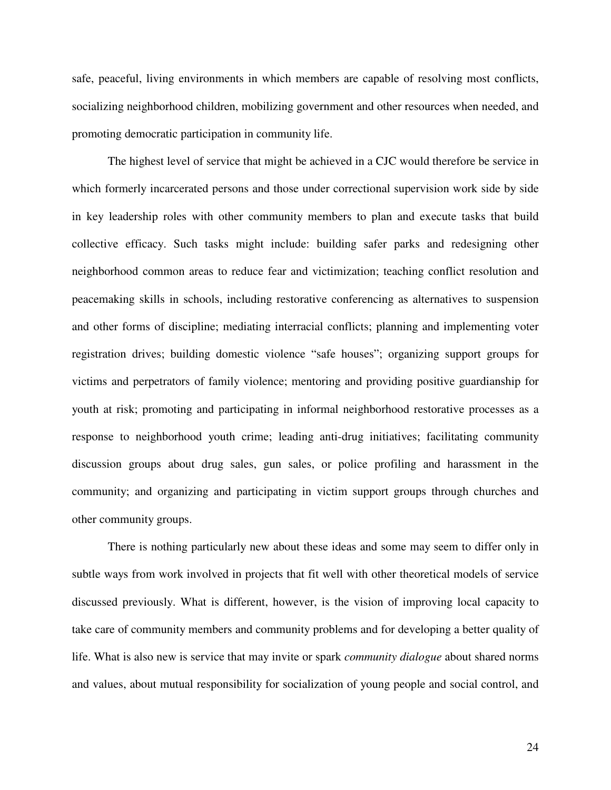safe, peaceful, living environments in which members are capable of resolving most conflicts, socializing neighborhood children, mobilizing government and other resources when needed, and promoting democratic participation in community life.

The highest level of service that might be achieved in a CJC would therefore be service in which formerly incarcerated persons and those under correctional supervision work side by side in key leadership roles with other community members to plan and execute tasks that build collective efficacy. Such tasks might include: building safer parks and redesigning other neighborhood common areas to reduce fear and victimization; teaching conflict resolution and peacemaking skills in schools, including restorative conferencing as alternatives to suspension and other forms of discipline; mediating interracial conflicts; planning and implementing voter registration drives; building domestic violence "safe houses"; organizing support groups for victims and perpetrators of family violence; mentoring and providing positive guardianship for youth at risk; promoting and participating in informal neighborhood restorative processes as a response to neighborhood youth crime; leading anti-drug initiatives; facilitating community discussion groups about drug sales, gun sales, or police profiling and harassment in the community; and organizing and participating in victim support groups through churches and other community groups.

There is nothing particularly new about these ideas and some may seem to differ only in subtle ways from work involved in projects that fit well with other theoretical models of service discussed previously. What is different, however, is the vision of improving local capacity to take care of community members and community problems and for developing a better quality of life. What is also new is service that may invite or spark *community dialogue* about shared norms and values, about mutual responsibility for socialization of young people and social control, and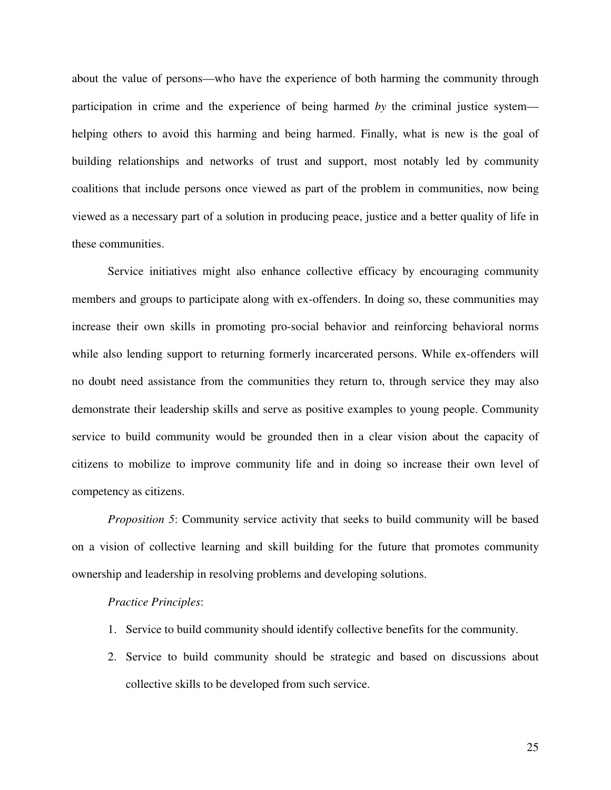about the value of persons— who have the experience of both harming the community through participation in crime and the experience of being harmed *by* the criminal justice system helping others to avoid this harming and being harmed. Finally, what is new is the goal of building relationships and networks of trust and support, most notably led by community coalitions that include persons once viewed as part of the problem in communities, now being viewed as a necessary part of a solution in producing peace, justice and a better quality of life in these communities.

Service initiatives might also enhance collective efficacy by encouraging community members and groups to participate along with ex-offenders. In doing so, these communities may increase their own skills in promoting pro-social behavior and reinforcing behavioral norms while also lending support to returning formerly incarcerated persons. While ex-offenders will no doubt need assistance from the communities they return to, through service they may also demonstrate their leadership skills and serve as positive examples to young people. Community service to build community would be grounded then in a clear vision about the capacity of citizens to mobilize to improve community life and in doing so increase their own level of competency as citizens.

*Proposition 5*: Community service activity that seeks to build community will be based on a vision of collective learning and skill building for the future that promotes community ownership and leadership in resolving problems and developing solutions.

#### *Practice Principles*:

- 1. Service to build community should identify collective benefits for the community.
- 2. Service to build community should be strategic and based on discussions about collective skills to be developed from such service.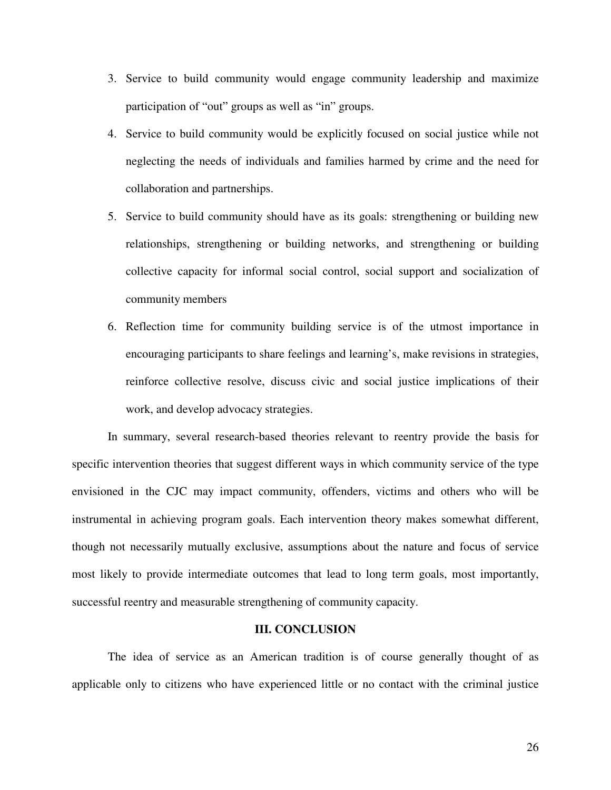- 3. Service to build community would engage community leadership and maximize participation of "out" groups as well as "in" groups.
- 4. Service to build community would be explicitly focused on social justice while not neglecting the needs of individuals and families harmed by crime and the need for collaboration and partnerships.
- 5. Service to build community should have as its goals: strengthening or building new relationships, strengthening or building networks, and strengthening or building collective capacity for informal social control, social support and socialization of community members
- 6. Reflection time for community building service is of the utmost importance in encouraging participants to share feelings and learning's, make revisions in strategies, reinforce collective resolve, discuss civic and social justice implications of their work, and develop advocacy strategies.

In summary, several research-based theories relevant to reentry provide the basis for specific intervention theories that suggest different ways in which community service of the type envisioned in the CJC may impact community, offenders, victims and others who will be instrumental in achieving program goals. Each intervention theory makes somewhat different, though not necessarily mutually exclusive, assumptions about the nature and focus of service most likely to provide intermediate outcomes that lead to long term goals, most importantly, successful reentry and measurable strengthening of community capacity.

## **III. CONCLUSION**

The idea of service as an American tradition is of course generally thought of as applicable only to citizens who have experienced little or no contact with the criminal justice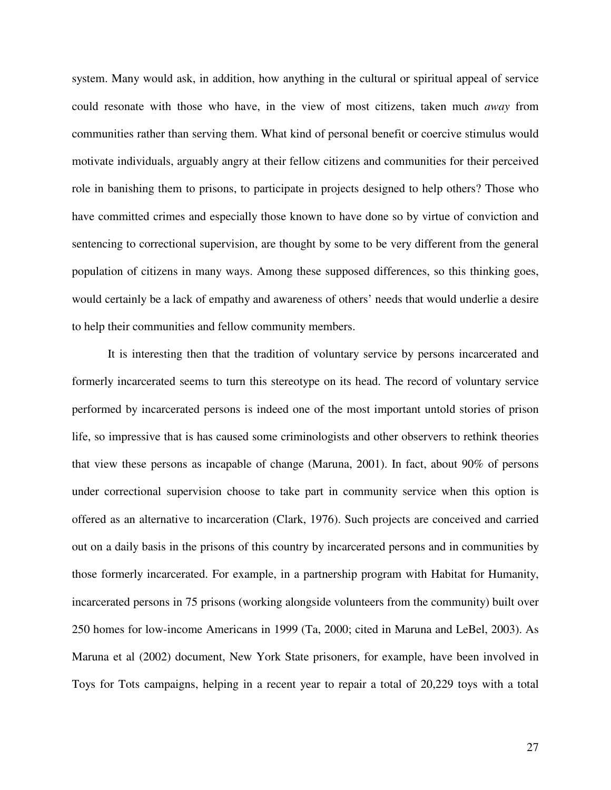system. Many would ask, in addition, how anything in the cultural or spiritual appeal of service could resonate with those who have, in the view of most citizens, taken much *away* from communities rather than serving them. What kind of personal benefit or coercive stimulus would motivate individuals, arguably angry at their fellow citizens and communities for their perceived role in banishing them to prisons, to participate in projects designed to help others? Those who have committed crimes and especially those known to have done so by virtue of conviction and sentencing to correctional supervision, are thought by some to be very different from the general population of citizens in many ways. Among these supposed differences, so this thinking goes, would certainly be a lack of empathy and awareness of others' needs that would underlie a desire to help their communities and fellow community members.

It is interesting then that the tradition of voluntary service by persons incarcerated and formerly incarcerated seems to turn this stereotype on its head. The record of voluntary service performed by incarcerated persons is indeed one of the most important untold stories of prison life, so impressive that is has caused some criminologists and other observers to rethink theories that view these persons as incapable of change (Maruna, 2001). In fact, about 90% of persons under correctional supervision choose to take part in community service when this option is offered as an alternative to incarceration (Clark, 1976). Such projects are conceived and carried out on a daily basis in the prisons of this country by incarcerated persons and in communities by those formerly incarcerated. For example, in a partnership program with Habitat for Humanity, incarcerated persons in 75 prisons (working alongside volunteers from the community) built over 250 homes for low-income Americans in 1999 (Ta, 2000; cited in Maruna and LeBel, 2003). As Maruna et al (2002) document, New York State prisoners, for example, have been involved in Toys for Tots campaigns, helping in a recent year to repair a total of 20,229 toys with a total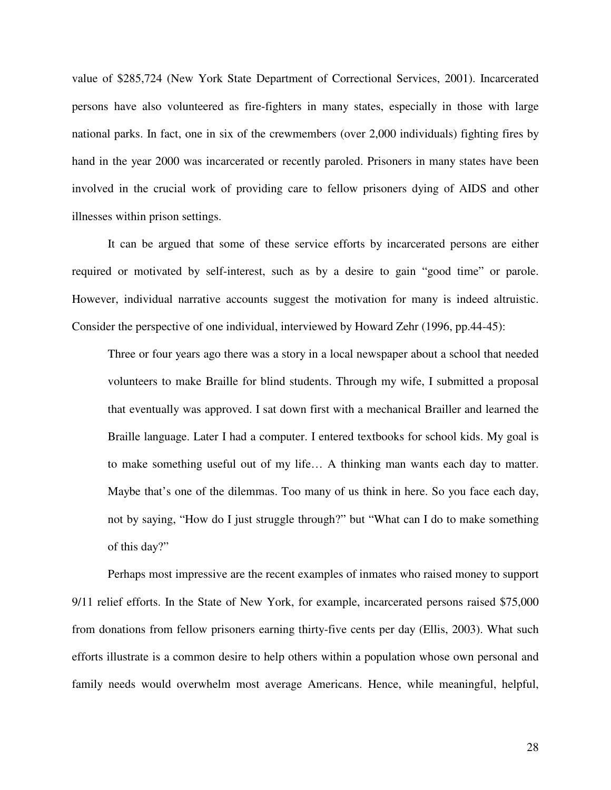value of \$285,724 (New York State Department of Correctional Services, 2001). Incarcerated persons have also volunteered as fire-fighters in many states, especially in those with large national parks. In fact, one in six of the crewmembers (over 2,000 individuals) fighting fires by hand in the year 2000 was incarcerated or recently paroled. Prisoners in many states have been involved in the crucial work of providing care to fellow prisoners dying of AIDS and other illnesses within prison settings.

It can be argued that some of these service efforts by incarcerated persons are either required or motivated by self-interest, such as by a desire to gain "good time" or parole. However, individual narrative accounts suggest the motivation for many is indeed altruistic. Consider the perspective of one individual, interviewed by Howard Zehr (1996, pp.44-45):

Three or four years ago there was a story in a local newspaper about a school that needed volunteers to make Braille for blind students. Through my wife, I submitted a proposal that eventually was approved. I sat down first with a mechanical Brailler and learned the Braille language. Later I had a computer. I entered textbooks for school kids. My goal is to make something useful out of my life… A thinking man wants each day to matter. Maybe that's one of the dilemmas. Too many of us think in here. So you face each day, not by saying, "How do I just struggle through?" but "What can I do to make something of this day?"

Perhaps most impressive are the recent examples of inmates who raised money to support 9/11 relief efforts. In the State of New York, for example, incarcerated persons raised \$75,000 from donations from fellow prisoners earning thirty-five cents per day (Ellis, 2003). What such efforts illustrate is a common desire to help others within a population whose own personal and family needs would overwhelm most average Americans. Hence, while meaningful, helpful,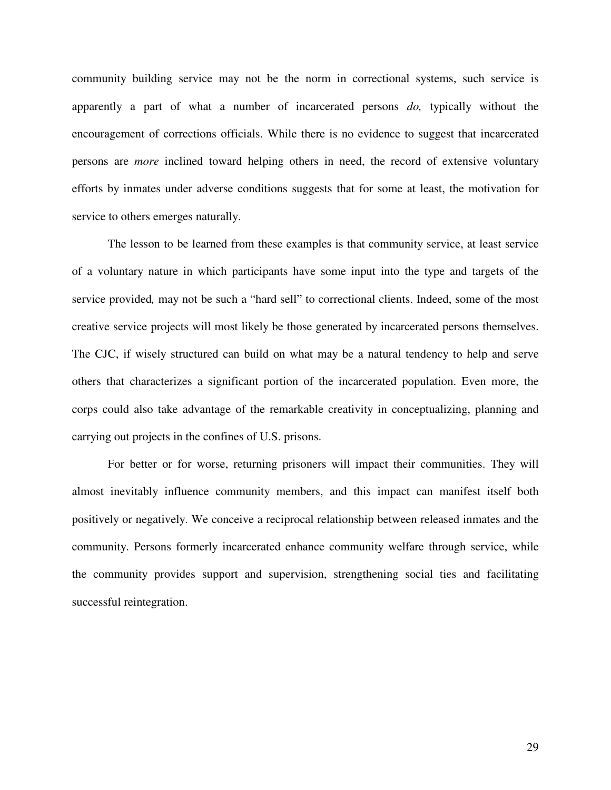community building service may not be the norm in correctional systems, such service is apparently a part of what a number of incarcerated persons *do,* typically without the encouragement of corrections officials. While there is no evidence to suggest that incarcerated persons are *more* inclined toward helping others in need, the record of extensive voluntary efforts by inmates under adverse conditions suggests that for some at least, the motivation for service to others emerges naturally.

The lesson to be learned from these examples is that community service, at least service of a voluntary nature in which participants have some input into the type and targets of the service provided, may not be such a "hard sell" to correctional clients. Indeed, some of the most creative service projects will most likely be those generated by incarcerated persons themselves. The CJC, if wisely structured can build on what may be a natural tendency to help and serve others that characterizes a significant portion of the incarcerated population. Even more, the corps could also take advantage of the remarkable creativity in conceptualizing, planning and carrying out projects in the confines of U.S. prisons.

For better or for worse, returning prisoners will impact their communities. They will almost inevitably influence community members, and this impact can manifest itself both positively or negatively. We conceive a reciprocal relationship between released inmates and the community. Persons formerly incarcerated enhance community welfare through service, while the community provides support and supervision, strengthening social ties and facilitating successful reintegration.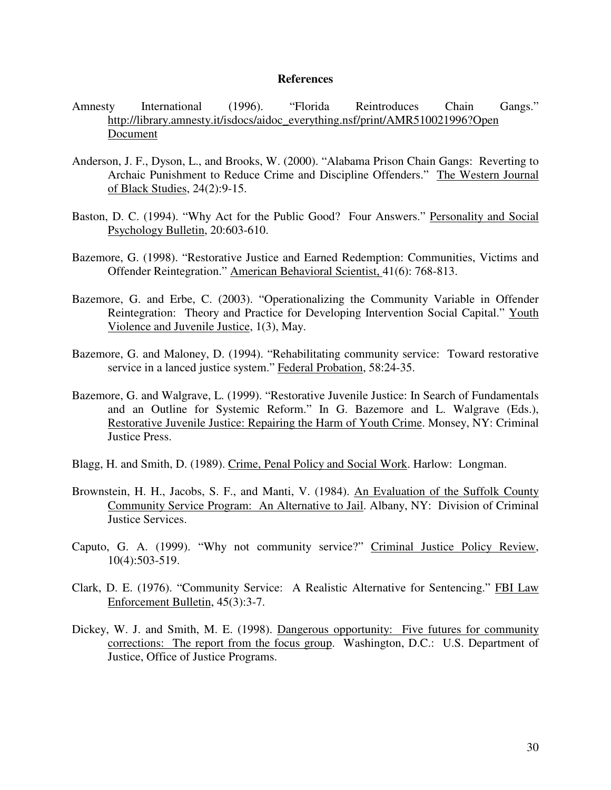#### **References**

- Amnesty International (1996). "Florida Reintroduces Chain Gangs." http://library.amnesty.it/isdocs/aidoc\_everything.nsf/print/AMR510021996?Open Document
- Anderson, J. F., Dyson, L., and Brooks, W. (2000). " Alabama Prison Chain Gangs: Reverting to Archaic Punishment to Reduce Crime and Discipline Offenders." The Western Journal of Black Studies, 24(2):9-15.
- Baston, D. C. (1994). "Why Act for the Public Good? Four Answers." Personality and Social Psychology Bulletin, 20:603-610.
- Bazemore, G. (1998). "Restorative Justice and Earned Redemption: Communities, Victims and Offender Reintegration." American Behavioral Scientist, 41(6): 768-813.
- Bazemore, G. and Erbe, C. (2003). "Operationalizing the Community Variable in Offender Reintegration: Theory and Practice for Developing Intervention Social Capital." Youth Violence and Juvenile Justice, 1(3), May.
- Bazemore, G. and Maloney, D. (1994). "Rehabilitating community service: Toward restorative service in a lanced justice system." Federal Probation, 58:24-35.
- Bazemore, G. and Walgrave, L. (1999). "Restorative Juvenile Justice: In Search of Fundamentals and an Outline for Systemic Reform." In G. Bazemore and L. Walgrave (Eds.), Restorative Juvenile Justice: Repairing the Harm of Youth Crime. Monsey, NY: Criminal Justice Press.
- Blagg, H. and Smith, D. (1989). Crime, Penal Policy and Social Work. Harlow: Longman.
- Brownstein, H. H., Jacobs, S. F., and Manti, V. (1984). An Evaluation of the Suffolk County Community Service Program: An Alternative to Jail. Albany, NY: Division of Criminal Justice Services.
- Caputo, G. A. (1999). "Why not community service?" Criminal Justice Policy Review, 10(4):503-519.
- Clark, D. E. (1976). "Community Service: A Realistic Alternative for Sentencing." FBI Law Enforcement Bulletin, 45(3):3-7.
- Dickey, W. J. and Smith, M. E. (1998). Dangerous opportunity: Five futures for community corrections: The report from the focus group. Washington, D.C.: U.S. Department of Justice, Office of Justice Programs.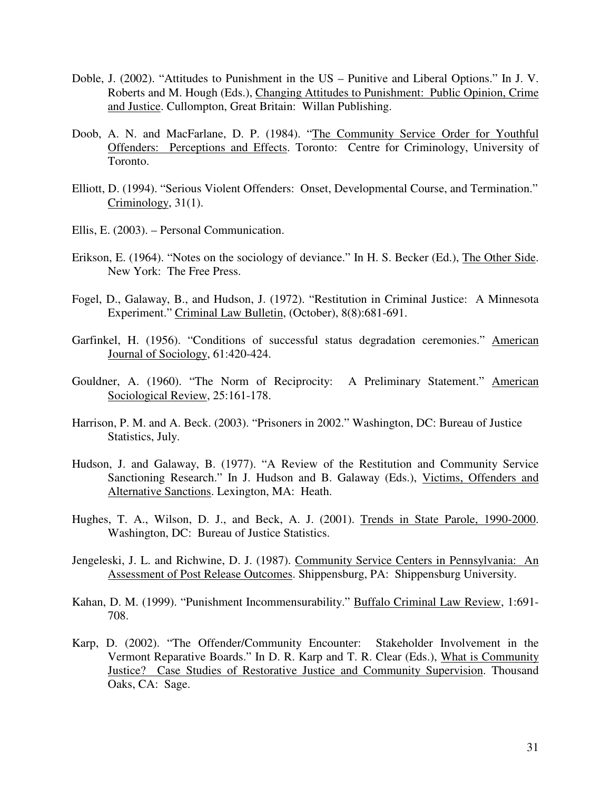- Doble, J. (2002). " Attitudes to Punishment in the US Punitive and Liberal Options." In J. V. Roberts and M. Hough (Eds.), Changing Attitudes to Punishment: Public Opinion, Crime and Justice. Cullompton, Great Britain: Willan Publishing.
- Doob, A. N. and MacFarlane, D. P. (1984). " The Community Service Order for Youthful Offenders: Perceptions and Effects. Toronto: Centre for Criminology, University of Toronto.
- Elliott, D. (1994). " Serious Violent Offenders: Onset, Developmental Course, and Termination." Criminology, 31(1).
- Ellis, E. (2003). Personal Communication.
- Erikson, E. (1964). "Notes on the sociology of deviance." In H. S. Becker (Ed.), The Other Side. New York: The Free Press.
- Fogel, D., Galaway, B., and Hudson, J. (1972). "Restitution in Criminal Justice: A Minnesota Experiment." Criminal Law Bulletin, (October), 8(8):681-691.
- Garfinkel, H. (1956). "Conditions of successful status degradation ceremonies." American Journal of Sociology, 61:420-424.
- Gouldner, A. (1960). "The Norm of Reciprocity: A Preliminary Statement." American Sociological Review, 25:161-178.
- Harrison, P. M. and A. Beck. (2003). " Prisoners in 2002." Washington, DC: Bureau of Justice Statistics, July.
- Hudson, J. and Galaway, B. (1977). "A Review of the Restitution and Community Service Sanctioning Research." In J. Hudson and B. Galaway (Eds.), Victims, Offenders and Alternative Sanctions. Lexington, MA: Heath.
- Hughes, T. A., Wilson, D. J., and Beck, A. J. (2001). Trends in State Parole, 1990-2000. Washington, DC: Bureau of Justice Statistics.
- Jengeleski, J. L. and Richwine, D. J. (1987). Community Service Centers in Pennsylvania: An Assessment of Post Release Outcomes. Shippensburg, PA: Shippensburg University.
- Kahan, D. M. (1999). "Punishment Incommensurability." Buffalo Criminal Law Review, 1:691-708.
- Karp, D. (2002). "The Offender/Community Encounter: Stakeholder Involvement in the Vermont Reparative Boards." In D. R. Karp and T. R. Clear (Eds.), What is Community Justice? Case Studies of Restorative Justice and Community Supervision. Thousand Oaks, CA: Sage.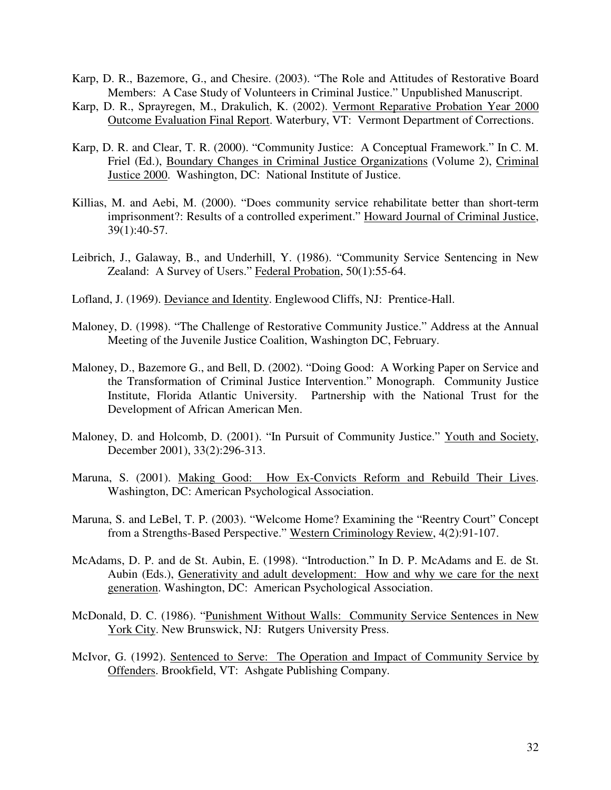- Karp, D. R., Bazemore, G., and Chesire. (2003). " The Role and Attitudes of Restorative Board Members: A Case Study of Volunteers in Criminal Justice." Unpublished Manuscript.
- Karp, D. R., Sprayregen, M., Drakulich, K. (2002). Vermont Reparative Probation Year 2000 Outcome Evaluation Final Report. Waterbury, VT: Vermont Department of Corrections.
- Karp, D. R. and Clear, T. R. (2000). "Community Justice: A Conceptual Framework." In C. M. Friel (Ed.), Boundary Changes in Criminal Justice Organizations (Volume 2), Criminal Justice 2000. Washington, DC: National Institute of Justice.
- Killias, M. and Aebi, M. (2000). "Does community service rehabilitate better than short-term imprisonment?: Results of a controlled experiment." Howard Journal of Criminal Justice, 39(1):40-57.
- Leibrich, J., Galaway, B., and Underhill, Y. (1986). "Community Service Sentencing in New Zealand: A Survey of Users." Federal Probation, 50(1):55-64.
- Lofland, J. (1969). Deviance and Identity. Englewood Cliffs, NJ: Prentice-Hall.
- Maloney, D. (1998). "The Challenge of Restorative Community Justice." Address at the Annual Meeting of the Juvenile Justice Coalition, Washington DC, February.
- Maloney, D., Bazemore G., and Bell, D. (2002). " Doing Good: A Working Paper on Service and the Transformation of Criminal Justice Intervention." Monograph. Community Justice Institute, Florida Atlantic University. Partnership with the National Trust for the Development of African American Men.
- Maloney, D. and Holcomb, D. (2001). "In Pursuit of Community Justice." Youth and Society, December 2001), 33(2):296-313.
- Maruna, S. (2001). Making Good: How Ex-Convicts Reform and Rebuild Their Lives. Washington, DC: American Psychological Association.
- Maruna, S. and LeBel, T. P. (2003). " Welcome Home? Examining the "Reentry Court" Concept from a Strengths-Based Perspective." Western Criminology Review, 4(2):91-107.
- McAdams, D. P. and de St. Aubin, E. (1998). "Introduction." In D. P. McAdams and E. de St. Aubin (Eds.), Generativity and adult development: How and why we care for the next generation. Washington, DC: American Psychological Association.
- McDonald, D. C. (1986). " Punishment Without Walls: Community Service Sentences in New York City. New Brunswick, NJ: Rutgers University Press.
- McIvor, G. (1992). Sentenced to Serve: The Operation and Impact of Community Service by Offenders. Brookfield, VT: Ashgate Publishing Company.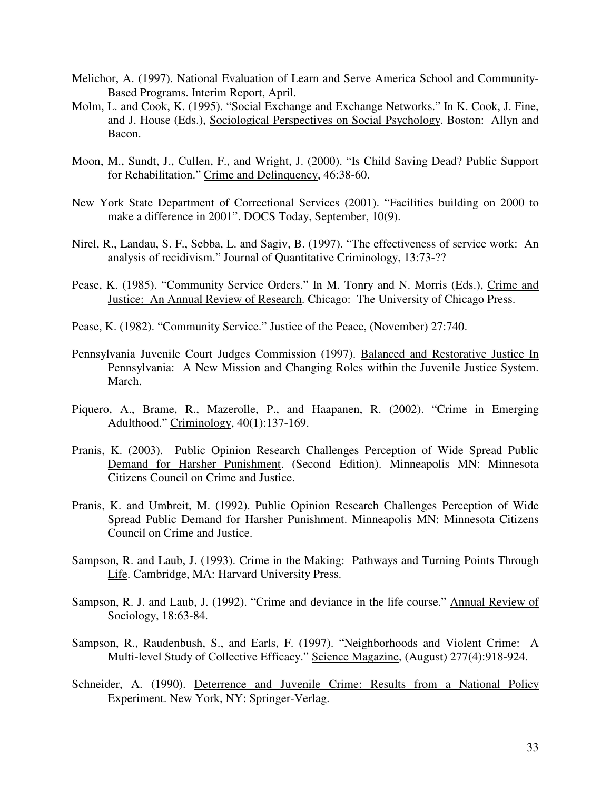- Melichor, A. (1997). National Evaluation of Learn and Serve America School and Community-Based Programs. Interim Report, April.
- Molm, L. and Cook, K. (1995). " Social Exchange and Exchange Networks." In K. Cook, J. Fine, and J. House (Eds.), Sociological Perspectives on Social Psychology. Boston: Allyn and Bacon.
- Moon, M., Sundt, J., Cullen, F., and Wright, J. (2000). "Is Child Saving Dead? Public Support for Rehabilitation." Crime and Delinquency, 46:38-60.
- New York State Department of Correctional Services (2001). " Facilities building on 2000 to make a difference in 2001". DOCS Today, September, 10(9).
- Nirel, R., Landau, S. F., Sebba, L. and Sagiv, B. (1997). " The effectiveness of service work: An analysis of recidivism." Journal of Quantitative Criminology, 13:73-??
- Pease, K. (1985). "Community Service Orders." In M. Tonry and N. Morris (Eds.), Crime and Justice: An Annual Review of Research. Chicago: The University of Chicago Press.
- Pease, K. (1982). "Community Service." Justice of the Peace, (November) 27:740.
- Pennsylvania Juvenile Court Judges Commission (1997). Balanced and Restorative Justice In Pennsylvania: A New Mission and Changing Roles within the Juvenile Justice System. March.
- Piquero, A., Brame, R., Mazerolle, P., and Haapanen, R. (2002). "Crime in Emerging Adulthood." Criminology, 40(1):137-169.
- Pranis, K. (2003). Public Opinion Research Challenges Perception of Wide Spread Public Demand for Harsher Punishment. (Second Edition). Minneapolis MN: Minnesota Citizens Council on Crime and Justice.
- Pranis, K. and Umbreit, M. (1992). Public Opinion Research Challenges Perception of Wide Spread Public Demand for Harsher Punishment. Minneapolis MN: Minnesota Citizens Council on Crime and Justice.
- Sampson, R. and Laub, J. (1993). Crime in the Making: Pathways and Turning Points Through Life. Cambridge, MA: Harvard University Press.
- Sampson, R. J. and Laub, J. (1992). "Crime and deviance in the life course." Annual Review of Sociology, 18:63-84.
- Sampson, R., Raudenbush, S., and Earls, F. (1997). " Neighborhoods and Violent Crime: A Multi-level Study of Collective Efficacy." Science Magazine, (August) 277(4):918-924.
- Schneider, A. (1990). Deterrence and Juvenile Crime: Results from a National Policy Experiment. New York, NY: Springer-Verlag.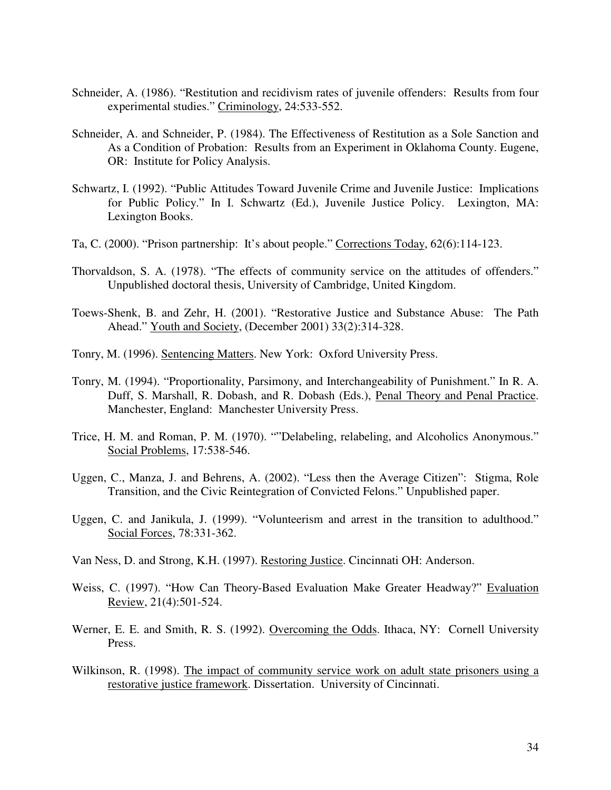- Schneider, A. (1986). "Restitution and recidivism rates of juvenile offenders: Results from four experimental studies." Criminology, 24:533-552.
- Schneider, A. and Schneider, P. (1984). The Effectiveness of Restitution as a Sole Sanction and As a Condition of Probation: Results from an Experiment in Oklahoma County. Eugene, OR: Institute for Policy Analysis.
- Schwartz, I. (1992). "Public Attitudes Toward Juvenile Crime and Juvenile Justice: Implications for Public Policy." In I. Schwartz (Ed.), Juvenile Justice Policy. Lexington, MA: Lexington Books.
- Ta, C. (2000). "Prison partnership: It's about people." Corrections Today, 62(6):114-123.
- Thorvaldson, S. A. (1978). " The effects of community service on the attitudes of offenders." Unpublished doctoral thesis, University of Cambridge, United Kingdom.
- Toews-Shenk, B. and Zehr, H. (2001). "Restorative Justice and Substance Abuse: The Path Ahead." Youth and Society, (December 2001) 33(2):314-328.
- Tonry, M. (1996). Sentencing Matters. New York: Oxford University Press.
- Tonry, M. (1994). "Proportionality, Parsimony, and Interchangeability of Punishment." In R. A. Duff, S. Marshall, R. Dobash, and R. Dobash (Eds.), Penal Theory and Penal Practice. Manchester, England: Manchester University Press.
- Trice, H. M. and Roman, P. M. (1970). ""Delabeling, relabeling, and Alcoholics Anonymous." Social Problems, 17:538-546.
- Uggen, C., Manza, J. and Behrens, A. (2002). " Less then the Average Citizen": Stigma, Role Transition, and the Civic Reintegration of Convicted Felons." Unpublished paper.
- Uggen, C. and Janikula, J. (1999). "Volunteerism and arrest in the transition to adulthood." Social Forces, 78:331-362.
- Van Ness, D. and Strong, K.H. (1997). Restoring Justice. Cincinnati OH: Anderson.
- Weiss, C. (1997). "How Can Theory-Based Evaluation Make Greater Headway?" Evaluation Review, 21(4):501-524.
- Werner, E. E. and Smith, R. S. (1992). Overcoming the Odds. Ithaca, NY: Cornell University Press.
- Wilkinson, R. (1998). The impact of community service work on adult state prisoners using a restorative justice framework. Dissertation. University of Cincinnati.